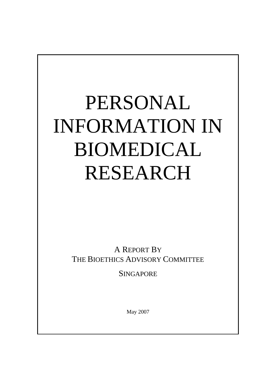# PERSONAL INFORMATION IN BIOMEDICAL RESEARCH

A REPORT BY THE BIOETHICS ADVISORY COMMITTEE

**SINGAPORE** 

May 2007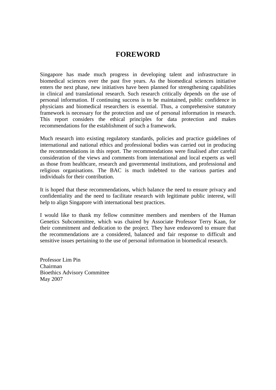#### **FOREWORD**

Singapore has made much progress in developing talent and infrastructure in biomedical sciences over the past five years. As the biomedical sciences initiative enters the next phase, new initiatives have been planned for strengthening capabilities in clinical and translational research. Such research critically depends on the use of personal information. If continuing success is to be maintained, public confidence in physicians and biomedical researchers is essential. Thus, a comprehensive statutory framework is necessary for the protection and use of personal information in research. This report considers the ethical principles for data protection and makes recommendations for the establishment of such a framework.

Much research into existing regulatory standards, policies and practice guidelines of international and national ethics and professional bodies was carried out in producing the recommendations in this report. The recommendations were finalised after careful consideration of the views and comments from international and local experts as well as those from healthcare, research and governmental institutions, and professional and religious organisations. The BAC is much indebted to the various parties and individuals for their contribution.

It is hoped that these recommendations, which balance the need to ensure privacy and confidentiality and the need to facilitate research with legitimate public interest, will help to align Singapore with international best practices.

I would like to thank my fellow committee members and members of the Human Genetics Subcommittee, which was chaired by Associate Professor Terry Kaan, for their commitment and dedication to the project. They have endeavored to ensure that the recommendations are a considered, balanced and fair response to difficult and sensitive issues pertaining to the use of personal information in biomedical research.

Professor Lim Pin Chairman Bioethics Advisory Committee May 2007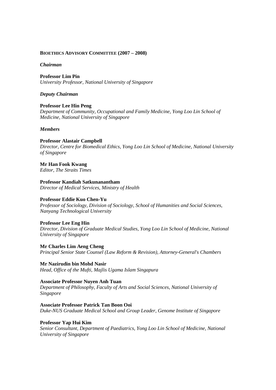#### **BIOETHICS ADVISORY COMMITTEE (2007 – 2008)**

#### *Chairman*

**Professor Lim Pin** *University Professor, National University of Singapore*

#### *Deputy Chairman*

**Professor Lee Hin Peng** *Department of Community, Occupational and Family Medicine, Yong Loo Lin School of Medicine, National University of Singapore*

#### *Members*

**Professor Alastair Campbell**  *Director, Centre for Biomedical Ethics, Yong Loo Lin School of Medicine, National University of Singapore*

**Mr Han Fook Kwang** *Editor, The Straits Times*

**Professor Kandiah Satkunanantham** *Director of Medical Services, Ministry of Health*

#### **Professor Eddie Kuo Chen-Yu**

*Professor of Sociology, Division of Sociology, School of Humanities and Social Sciences, Nanyang Technological University*

#### **Professor Lee Eng Hin**

*Director, Division of Graduate Medical Studies, Yong Loo Lin School of Medicine, National University of Singapore*

**Mr Charles Lim Aeng Cheng** *Principal Senior State Counsel (Law Reform & Revision), Attorney-General's Chambers*

**Mr Nazirudin bin Mohd Nasir** *Head, Office of the Mufti, Majlis Ugama Islam Singapura*

#### **Associate Professor Nuyen Anh Tuan**

*Department of Philosophy, Faculty of Arts and Social Sciences, National University of Singapore*

#### **Associate Professor Patrick Tan Boon Ooi**

*Duke-NUS Graduate Medical School and Group Leader, Genome Institute of Singapore*

#### **Professor Yap Hui Kim**

*Senior Consultant, Department of Paediatrics, Yong Loo Lin School of Medicine, National University of Singapore*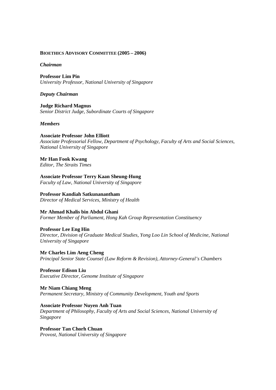#### **BIOETHICS ADVISORY COMMITTEE (2005 – 2006)**

#### *Chairman*

**Professor Lim Pin** *University Professor, National University of Singapore*

#### *Deputy Chairman*

**Judge Richard Magnus** *Senior District Judge, Subordinate Courts of Singapore*

#### *Members*

#### **Associate Professor John Elliott**

*Associate Professorial Fellow, Department of Psychology, Faculty of Arts and Social Sciences, National University of Singapore*

#### **Mr Han Fook Kwang**

*Editor, The Straits Times*

**Associate Professor Terry Kaan Sheung-Hung** *Faculty of Law, National University of Singapore*

#### **Professor Kandiah Satkunanantham**

*Director of Medical Services, Ministry of Health*

#### **Mr Ahmad Khalis bin Abdul Ghani**

*Former Member of Parliament, Hong Kah Group Representation Constituency*

#### **Professor Lee Eng Hin**

*Director, Division of Graduate Medical Studies, Yong Loo Lin School of Medicine, National University of Singapore*

**Mr Charles Lim Aeng Cheng** *Principal Senior State Counsel (Law Reform & Revision), Attorney-General's Chambers*

#### **Professor Edison Liu** *Executive Director, Genome Institute of Singapore*

**Mr Niam Chiang Meng** *Permanent Secretary, Ministry of Community Development, Youth and Sports*

#### **Associate Professor Nuyen Anh Tuan**

*Department of Philosophy, Faculty of Arts and Social Sciences, National University of Singapore*

**Professor Tan Chorh Chuan** *Provost, National University of Singapore*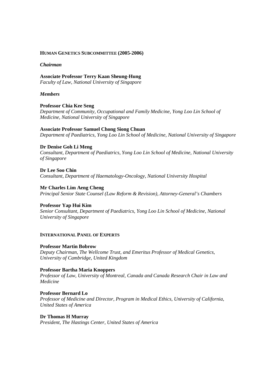#### **HUMAN GENETICS SUBCOMMITTEE (2005-2006)**

#### *Chairman*

**Associate Professor Terry Kaan Sheung-Hung** *Faculty of Law, National University of Singapore*

#### *Members*

**Professor Chia Kee Seng** *Department of Community, Occupational and Family Medicine, Yong Loo Lin School of Medicine, National University of Singapore*

#### **Associate Professor Samuel Chong Siong Chuan**

*Department of Paediatrics, Yong Loo Lin School of Medicine, National University of Singapore*

#### **Dr Denise Goh Li Meng**

*Consultant, Department of Paediatrics, Yong Loo Lin School of Medicine, National University of Singapore*

**Dr Lee Soo Chin** *Consultant, Department of Haematology-Oncology, National University Hospital*

**Mr Charles Lim Aeng Cheng**  *Principal Senior State Counsel (Law Reform & Revision), Attorney-General's Chambers*

#### **Professor Yap Hui Kim**

*Senior Consultant, Department of Paediatrics, Yong Loo Lin School of Medicine, National University of Singapore*

#### **INTERNATIONAL PANEL OF EXPERTS**

#### **Professor Martin Bobrow**

*Deputy Chairman, The Wellcome Trust, and Emeritus Professor of Medical Genetics, University of Cambridge, United Kingdom*

#### **Professor Bartha Maria Knoppers**

*Professor of Law, University of Montreal, Canada and Canada Research Chair in Law and Medicine*

#### **Professor Bernard Lo**

*Professor of Medicine and Director, Program in Medical Ethics, University of California, United States of America*

#### **Dr Thomas H Murray**

*President, The Hastings Center, United States of America*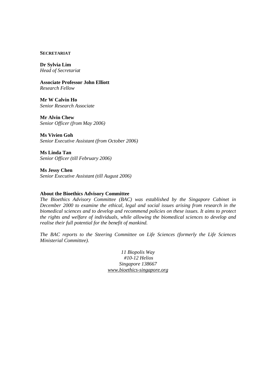#### **SECRETARIAT**

**Dr Sylvia Lim** *Head of Secretariat*

**Associate Professor John Elliott** *Research Fellow*

**Mr W Calvin Ho** *Senior Research Associate*

**Mr Alvin Chew** *Senior Officer (from May 2006)*

**Ms Vivien Goh** *Senior Executive Assistant (from October 2006)*

**Ms Linda Tan** *Senior Officer (till February 2006)*

**Ms Jessy Chen** *Senior Executive Assistant (till August 2006)*

#### **About the Bioethics Advisory Committee**

*The Bioethics Advisory Committee (BAC) was established by the Singapore Cabinet in December 2000 to examine the ethical, legal and social issues arising from research in the biomedical sciences and to develop and recommend policies on these issues. It aims to protect the rights and welfare of individuals, while allowing the biomedical sciences to develop and realise their full potential for the benefit of mankind.* 

*The BAC reports to the Steering Committee on Life Sciences (formerly the Life Sciences Ministerial Committee).*

> *11 Biopolis Way #10-12 Helios Singapore 138667 www.bioethics-singapore.org*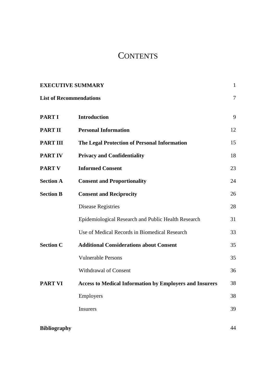# **CONTENTS**

| <b>EXECUTIVE SUMMARY</b>       |                                                                |        |
|--------------------------------|----------------------------------------------------------------|--------|
| <b>List of Recommendations</b> |                                                                | $\tau$ |
| <b>PART I</b>                  | <b>Introduction</b>                                            | 9      |
| <b>PART II</b>                 | <b>Personal Information</b>                                    | 12     |
| <b>PART III</b>                | The Legal Protection of Personal Information                   | 15     |
| <b>PART IV</b>                 | <b>Privacy and Confidentiality</b>                             | 18     |
| <b>PART V</b>                  | <b>Informed Consent</b>                                        | 23     |
| <b>Section A</b>               | <b>Consent and Proportionality</b>                             | 24     |
| <b>Section B</b>               | <b>Consent and Reciprocity</b>                                 | 26     |
|                                | <b>Disease Registries</b>                                      | 28     |
|                                | Epidemiological Research and Public Health Research            | 31     |
|                                | Use of Medical Records in Biomedical Research                  | 33     |
| <b>Section C</b>               | <b>Additional Considerations about Consent</b>                 | 35     |
|                                | <b>Vulnerable Persons</b>                                      | 35     |
|                                | Withdrawal of Consent                                          | 36     |
| <b>PART VI</b>                 | <b>Access to Medical Information by Employers and Insurers</b> | 38     |
|                                | Employers                                                      | 38     |
|                                | Insurers                                                       | 39     |
|                                |                                                                |        |
| <b>Bibliography</b>            |                                                                | 44     |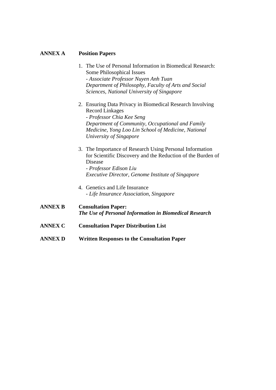#### **ANNEX A Position Papers**

- 1. The Use of Personal Information in Biomedical Research: Some Philosophical Issues - *Associate Professor Nuyen Anh Tuan Department of Philosophy, Faculty of Arts and Social Sciences, National University of Singapore*
- 2. Ensuring Data Privacy in Biomedical Research Involving Record Linkages *- Professor Chia Kee Seng Department of Community, Occupational and Family Medicine, Yong Loo Lin School of Medicine, National University of Singapore*
- 3. The Importance of Research Using Personal Information for Scientific Discovery and the Reduction of the Burden of Disease *- Professor Edison Liu Executive Director, Genome Institute of Singapore*
- 4. Genetics and Life Insurance *- Life Insurance Association, Singapore*
- **ANNEX B Consultation Paper:**  *The Use of Personal Information in Biomedical Research*
- **ANNEX C Consultation Paper Distribution List**
- **ANNEX D Written Responses to the Consultation Paper**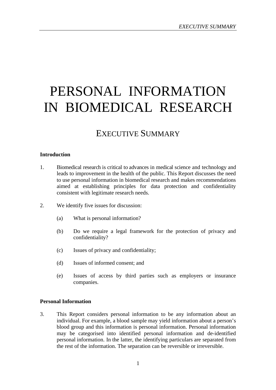# PERSONAL INFORMATION IN BIOMEDICAL RESEARCH

## EXECUTIVE SUMMARY

#### **Introduction**

- 1. Biomedical research is critical to advances in medical science and technology and leads to improvement in the health of the public. This Report discusses the need to use personal information in biomedical research and makes recommendations aimed at establishing principles for data protection and confidentiality consistent with legitimate research needs.
- 2. We identify five issues for discussion:
	- (a) What is personal information?
	- (b) Do we require a legal framework for the protection of privacy and confidentiality?
	- (c) Issues of privacy and confidentiality;
	- (d) Issues of informed consent; and
	- (e) Issues of access by third parties such as employers or insurance companies.

#### **Personal Information**

3. This Report considers personal information to be any information about an individual. For example, a blood sample may yield information about a person's blood group and this information is personal information. Personal information may be categorised into identified personal information and de-identified personal information. In the latter, the identifying particulars are separated from the rest of the information. The separation can be reversible or irreversible.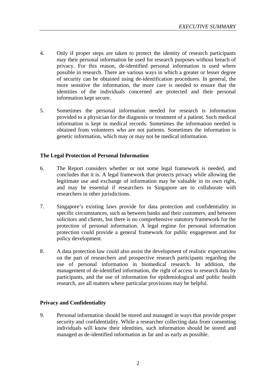- 4. Only if proper steps are taken to protect the identity of research participants may their personal information be used for research purposes without breach of privacy. For this reason, de-identified personal information is used where possible in research. There are various ways in which a greater or lesser degree of security can be obtained using de-identification procedures. In general, the more sensitive the information, the more care is needed to ensure that the identities of the individuals concerned are protected and their personal information kept secure.
- 5. Sometimes the personal information needed for research is information provided to a physician for the diagnosis or treatment of a patient. Such medical information is kept in medical records. Sometimes the information needed is obtained from volunteers who are not patients. Sometimes the information is genetic information, which may or may not be medical information.

#### **The Legal Protection of Personal Information**

- 6. The Report considers whether or not some legal framework is needed, and concludes that it is. A legal framework that protects privacy while allowing the legitimate use and exchange of information may be valuable in its own right, and may be essential if researchers in Singapore are to collaborate with researchers in other jurisdictions.
- 7. Singapore's existing laws provide for data protection and confidentiality in specific circumstances, such as between banks and their customers, and between solicitors and clients, but there is no comprehensive statutory framework for the protection of personal information. A legal regime for personal information protection could provide a general framework for public engagement and for policy development.
- 8. A data protection law could also assist the development of realistic expectations on the part of researchers and prospective research participants regarding the use of personal information in biomedical research. In addition, the management of de-identified information, the right of access to research data by participants, and the use of information for epidemiological and public health research, are all matters where particular provisions may be helpful.

#### **Privacy and Confidentiality**

9. Personal information should be stored and managed in ways that provide proper security and confidentiality. While a researcher collecting data from consenting individuals will know their identities, such information should be stored and managed as de-identified information as far and as early as possible.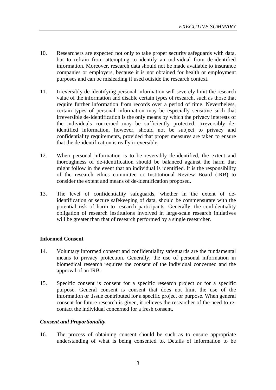- 10. Researchers are expected not only to take proper security safeguards with data, but to refrain from attempting to identify an individual from de-identified information. Moreover, research data should not be made available to insurance companies or employers, because it is not obtained for health or employment purposes and can be misleading if used outside the research context.
- 11. Irreversibly de-identifying personal information will severely limit the research value of the information and disable certain types of research, such as those that require further information from records over a period of time. Nevertheless, certain types of personal information may be especially sensitive such that irreversible de-identification is the only means by which the privacy interests of the individuals concerned may be sufficiently protected. Irreversibly deidentified information, however, should not be subject to privacy and confidentiality requirements, provided that proper measures are taken to ensure that the de-identification is really irreversible.
- 12. When personal information is to be reversibly de-identified, the extent and thoroughness of de-identification should be balanced against the harm that might follow in the event that an individual is identified. It is the responsibility of the research ethics committee or Institutional Review Board (IRB) to consider the extent and means of de-identification proposed.
- 13. The level of confidentiality safeguards, whether in the extent of deidentification or secure safekeeping of data, should be commensurate with the potential risk of harm to research participants. Generally, the confidentiality obligation of research institutions involved in large-scale research initiatives will be greater than that of research performed by a single researcher.

#### **Informed Consent**

- 14. Voluntary informed consent and confidentiality safeguards are the fundamental means to privacy protection. Generally, the use of personal information in biomedical research requires the consent of the individual concerned and the approval of an IRB.
- 15. Specific consent is consent for a specific research project or for a specific purpose. General consent is consent that does not limit the use of the information or tissue contributed for a specific project or purpose. When general consent for future research is given, it relieves the researcher of the need to recontact the individual concerned for a fresh consent.

#### *Consent and Proportionality*

16. The process of obtaining consent should be such as to ensure appropriate understanding of what is being consented to. Details of information to be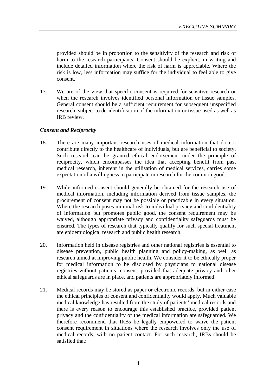provided should be in proportion to the sensitivity of the research and risk of harm to the research participants. Consent should be explicit, in writing and include detailed information where the risk of harm is appreciable. Where the risk is low, less information may suffice for the individual to feel able to give consent.

17. We are of the view that specific consent is required for sensitive research or when the research involves identified personal information or tissue samples. General consent should be a sufficient requirement for subsequent unspecified research, subject to de-identification of the information or tissue used as well as IRB review.

#### *Consent and Reciprocity*

- 18. There are many important research uses of medical information that do not contribute directly to the healthcare of individuals, but are beneficial to society. Such research can be granted ethical endorsement under the principle of reciprocity, which encompasses the idea that accepting benefit from past medical research, inherent in the utilisation of medical services, carries some expectation of a willingness to participate in research for the common good.
- 19. While informed consent should generally be obtained for the research use of medical information, including information derived from tissue samples, the procurement of consent may not be possible or practicable in every situation. Where the research poses minimal risk to individual privacy and confidentiality of information but promotes public good, the consent requirement may be waived, although appropriate privacy and confidentiality safeguards must be ensured. The types of research that typically qualify for such special treatment are epidemiological research and public health research.
- 20. Information held in disease registries and other national registries is essential to disease prevention, public health planning and policy-making, as well as research aimed at improving public health. We consider it to be ethically proper for medical information to be disclosed by physicians to national disease registries without patients' consent, provided that adequate privacy and other ethical safeguards are in place, and patients are appropriately informed.
- 21. Medical records may be stored as paper or electronic records, but in either case the ethical principles of consent and confidentiality would apply. Much valuable medical knowledge has resulted from the study of patients' medical records and there is every reason to encourage this established practice, provided patient privacy and the confidentiality of the medical information are safeguarded. We therefore recommend that IRBs be legally empowered to waive the patient consent requirement in situations where the research involves only the use of medical records, with no patient contact. For such research, IRBs should be satisfied that: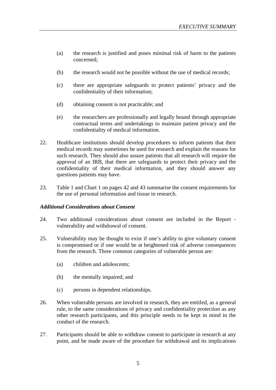- (a) the research is justified and poses minimal risk of harm to the patients concerned;
- (b) the research would not be possible without the use of medical records;
- (c) there are appropriate safeguards to protect patients' privacy and the confidentiality of their information;
- (d) obtaining consent is not practicable; and
- (e) the researchers are professionally and legally bound through appropriate contractual terms and undertakings to maintain patient privacy and the confidentiality of medical information.
- 22. Healthcare institutions should develop procedures to inform patients that their medical records may sometimes be used for research and explain the reasons for such research. They should also assure patients that all research will require the approval of an IRB, that there are safeguards to protect their privacy and the confidentiality of their medical information, and they should answer any questions patients may have.
- 23. Table 1 and Chart 1 on pages 42 and 43 summarise the consent requirements for the use of personal information and tissue in research.

#### *Additional Considerations about Consent*

- 24. Two additional considerations about consent are included in the Report vulnerability and withdrawal of consent.
- 25. Vulnerability may be thought to exist if one's ability to give voluntary consent is compromised or if one would be at heightened risk of adverse consequences from the research. Three common categories of vulnerable person are:
	- (a) children and adolescents;
	- (b) the mentally impaired; and
	- (c) persons in dependent relationships.
- 26. When vulnerable persons are involved in research, they are entitled, as a general rule, to the same considerations of privacy and confidentiality protection as any other research participants, and this principle needs to be kept in mind in the conduct of the research.
- 27. Participants should be able to withdraw consent to participate in research at any point, and be made aware of the procedure for withdrawal and its implications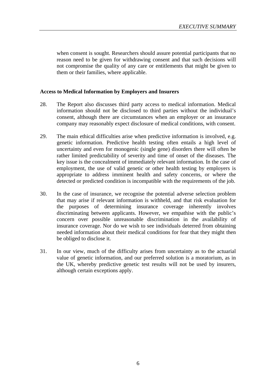when consent is sought. Researchers should assure potential participants that no reason need to be given for withdrawing consent and that such decisions will not compromise the quality of any care or entitlements that might be given to them or their families, where applicable.

#### **Access to Medical Information by Employers and Insurers**

- 28. The Report also discusses third party access to medical information. Medical information should not be disclosed to third parties without the individual's consent, although there are circumstances when an employer or an insurance company may reasonably expect disclosure of medical conditions, with consent.
- 29. The main ethical difficulties arise when predictive information is involved, e.g. genetic information. Predictive health testing often entails a high level of uncertainty and even for monogenic (single gene) disorders there will often be rather limited predictability of severity and time of onset of the diseases. The key issue is the concealment of immediately relevant information. In the case of employment, the use of valid genetic or other health testing by employers is appropriate to address imminent health and safety concerns, or where the detected or predicted condition is incompatible with the requirements of the job.
- 30. In the case of insurance, we recognise the potential adverse selection problem that may arise if relevant information is withheld, and that risk evaluation for the purposes of determining insurance coverage inherently involves discriminating between applicants. However, we empathise with the public's concern over possible unreasonable discrimination in the availability of insurance coverage. Nor do we wish to see individuals deterred from obtaining needed information about their medical conditions for fear that they might then be obliged to disclose it.
- 31. In our view, much of the difficulty arises from uncertainty as to the actuarial value of genetic information, and our preferred solution is a moratorium, as in the UK, whereby predictive genetic test results will not be used by insurers, although certain exceptions apply.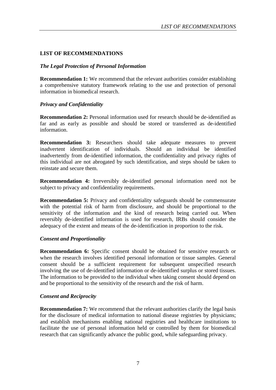#### **LIST OF RECOMMENDATIONS**

#### *The Legal Protection of Personal Information*

**Recommendation 1:** We recommend that the relevant authorities consider establishing a comprehensive statutory framework relating to the use and protection of personal information in biomedical research.

#### *Privacy and Confidentiality*

**Recommendation 2:** Personal information used for research should be de-identified as far and as early as possible and should be stored or transferred as de-identified information.

**Recommendation 3:** Researchers should take adequate measures to prevent inadvertent identification of individuals. Should an individual be identified inadvertently from de-identified information, the confidentiality and privacy rights of this individual are not abrogated by such identification, and steps should be taken to reinstate and secure them.

**Recommendation 4:** Irreversibly de-identified personal information need not be subject to privacy and confidentiality requirements.

**Recommendation 5:** Privacy and confidentiality safeguards should be commensurate with the potential risk of harm from disclosure, and should be proportional to the sensitivity of the information and the kind of research being carried out. When reversibly de-identified information is used for research, IRBs should consider the adequacy of the extent and means of the de-identification in proportion to the risk.

#### *Consent and Proportionality*

**Recommendation 6:** Specific consent should be obtained for sensitive research or when the research involves identified personal information or tissue samples. General consent should be a sufficient requirement for subsequent unspecified research involving the use of de-identified information or de-identified surplus or stored tissues. The information to be provided to the individual when taking consent should depend on and be proportional to the sensitivity of the research and the risk of harm.

#### *Consent and Reciprocity*

**Recommendation 7:** We recommend that the relevant authorities clarify the legal basis for the disclosure of medical information to national disease registries by physicians; and establish mechanisms enabling national registries and healthcare institutions to facilitate the use of personal information held or controlled by them for biomedical research that can significantly advance the public good, while safeguarding privacy.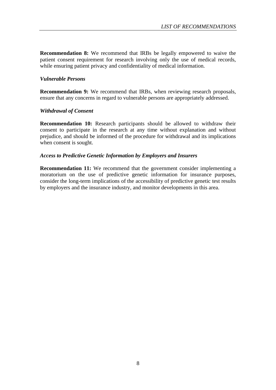**Recommendation 8:** We recommend that IRBs be legally empowered to waive the patient consent requirement for research involving only the use of medical records, while ensuring patient privacy and confidentiality of medical information.

#### *Vulnerable Persons*

**Recommendation 9:** We recommend that IRBs, when reviewing research proposals, ensure that any concerns in regard to vulnerable persons are appropriately addressed.

#### *Withdrawal of Consent*

**Recommendation 10:** Research participants should be allowed to withdraw their consent to participate in the research at any time without explanation and without prejudice, and should be informed of the procedure for withdrawal and its implications when consent is sought.

#### *Access to Predictive Genetic Information by Employers and Insurers*

**Recommendation 11:** We recommend that the government consider implementing a moratorium on the use of predictive genetic information for insurance purposes, consider the long-term implications of the accessibility of predictive genetic test results by employers and the insurance industry, and monitor developments in this area.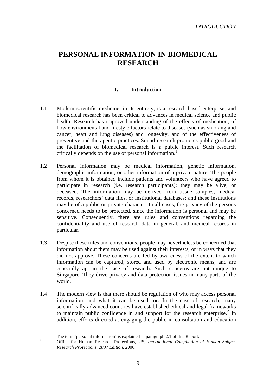### **PERSONAL INFORMATION IN BIOMEDICAL RESEARCH**

#### **I. Introduction**

- 1.1 Modern scientific medicine, in its entirety, is a research-based enterprise, and biomedical research has been critical to advances in medical science and public health. Research has improved understanding of the effects of medication, of how environmental and lifestyle factors relate to diseases (such as smoking and cancer, heart and lung diseases) and longevity, and of the effectiveness of preventive and therapeutic practices. Sound research promotes public good and the facilitation of biomedical research is a public interest. Such research critically depends on the use of personal information.<sup>1</sup>
- 1.2 Personal information may be medical information, genetic information, demographic information, or other information of a private nature. The people from whom it is obtained include patients and volunteers who have agreed to participate in research (i.e. research participants); they may be alive, or deceased. The information may be derived from tissue samples, medical records, researchers' data files, or institutional databases; and these institutions may be of a public or private character. In all cases, the privacy of the persons concerned needs to be protected, since the information is personal and may be sensitive. Consequently, there are rules and conventions regarding the confidentiality and use of research data in general, and medical records in particular.
- 1.3 Despite these rules and conventions, people may nevertheless be concerned that information about them may be used against their interests, or in ways that they did not approve. These concerns are fed by awareness of the extent to which information can be captured, stored and used by electronic means, and are especially apt in the case of research. Such concerns are not unique to Singapore. They drive privacy and data protection issues in many parts of the world.
- 1.4 The modern view is that there should be regulation of who may access personal information, and what it can be used for. In the case of research, many scientifically advanced countries have established ethical and legal frameworks to maintain public confidence in and support for the research enterprise. $2$  In addition, efforts directed at engaging the public in consultation and education

 $\mathbf{1}$ 

<sup>1</sup> The term 'personal information' is explained in paragraph 2.1 of this Report. 2 Office for Human Research Protections, US, *International Compilation of Human Subject Research Protections, 2007 Edition*, 2006.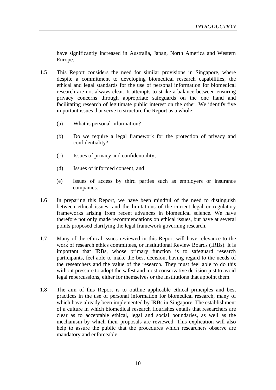have significantly increased in Australia, Japan, North America and Western Europe.

- 1.5 This Report considers the need for similar provisions in Singapore, where despite a commitment to developing biomedical research capabilities, the ethical and legal standards for the use of personal information for biomedical research are not always clear. It attempts to strike a balance between ensuring privacy concerns through appropriate safeguards on the one hand and facilitating research of legitimate public interest on the other. We identify five important issues that serve to structure the Report as a whole:
	- (a) What is personal information?
	- (b) Do we require a legal framework for the protection of privacy and confidentiality?
	- (c) Issues of privacy and confidentiality;
	- (d) Issues of informed consent; and
	- (e) Issues of access by third parties such as employers or insurance companies.
- 1.6 In preparing this Report, we have been mindful of the need to distinguish between ethical issues, and the limitations of the current legal or regulatory frameworks arising from recent advances in biomedical science. We have therefore not only made recommendations on ethical issues, but have at several points proposed clarifying the legal framework governing research.
- 1.7 Many of the ethical issues reviewed in this Report will have relevance to the work of research ethics committees, or Institutional Review Boards (IRBs). It is important that IRBs, whose primary function is to safeguard research participants, feel able to make the best decision, having regard to the needs of the researchers and the value of the research. They must feel able to do this without pressure to adopt the safest and most conservative decision just to avoid legal repercussions, either for themselves or the institutions that appoint them.
- 1.8 The aim of this Report is to outline applicable ethical principles and best practices in the use of personal information for biomedical research, many of which have already been implemented by IRBs in Singapore. The establishment of a culture in which biomedical research flourishes entails that researchers are clear as to acceptable ethical, legal and social boundaries, as well as the mechanism by which their proposals are reviewed. This explication will also help to assure the public that the procedures which researchers observe are mandatory and enforceable.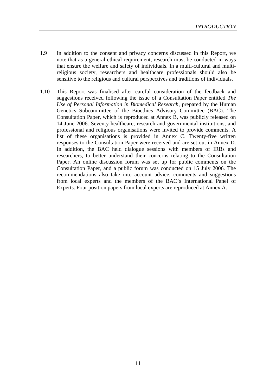- 1.9 In addition to the consent and privacy concerns discussed in this Report, we note that as a general ethical requirement, research must be conducted in ways that ensure the welfare and safety of individuals. In a multi-cultural and multireligious society, researchers and healthcare professionals should also be sensitive to the religious and cultural perspectives and traditions of individuals.
- 1.10 This Report was finalised after careful consideration of the feedback and suggestions received following the issue of a Consultation Paper entitled *The Use of Personal Information in Biomedical Research*, prepared by the Human Genetics Subcommittee of the Bioethics Advisory Committee (BAC). The Consultation Paper, which is reproduced at Annex B, was publicly released on 14 June 2006. Seventy healthcare, research and governmental institutions, and professional and religious organisations were invited to provide comments. A list of these organisations is provided in Annex C. Twenty-five written responses to the Consultation Paper were received and are set out in Annex D. In addition, the BAC held dialogue sessions with members of IRBs and researchers, to better understand their concerns relating to the Consultation Paper. An online discussion forum was set up for public comments on the Consultation Paper, and a public forum was conducted on 15 July 2006. The recommendations also take into account advice, comments and suggestions from local experts and the members of the BAC's International Panel of Experts. Four position papers from local experts are reproduced at Annex A.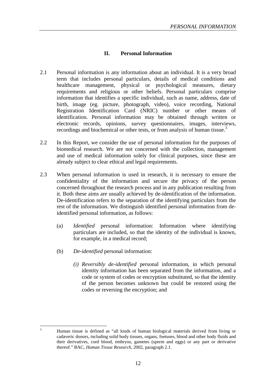#### **II. Personal Information**

- 2.1 Personal information is any information about an individual. It is a very broad term that includes personal particulars, details of medical conditions and healthcare management, physical or psychological measures, dietary requirements and religious or other beliefs. Personal particulars comprise information that identifies a specific individual, such as name, address, date of birth, image (eg. picture, photograph, video), voice recording, National Registration Identification Card (NRIC) number or other means of identification. Personal information may be obtained through written or electronic records, opinions, survey questionnaires, images, interviews, recordings and biochemical or other tests, or from analysis of human tissue.<sup>3</sup>
- 2.2 In this Report, we consider the use of personal information for the purposes of biomedical research. We are not concerned with the collection, management and use of medical information solely for clinical purposes, since these are already subject to clear ethical and legal requirements.
- 2.3 When personal information is used in research, it is necessary to ensure the confidentiality of the information and secure the privacy of the person concerned throughout the research process and in any publication resulting from it. Both these aims are usually achieved by de-identification of the information. De-identification refers to the separation of the identifying particulars from the rest of the information. We distinguish identified personal information from deidentified personal information, as follows:
	- (a) *Identified* personal information: Information where identifying particulars are included, so that the identity of the individual is known, for example, in a medical record;
	- (b) *De-identified* personal information:
		- *(i) Reversibly de-identified* personal information, in which personal identity information has been separated from the information, and a code or system of codes or encryption substituted, so that the identity of the person becomes unknown but could be restored using the codes or reversing the encryption; and

 $\overline{3}$ 

<sup>3</sup> Human tissue is defined as "all kinds of human biological materials derived from living or cadaveric donors, including solid body tissues, organs, foetuses, blood and other body fluids and their derivatives, cord blood, embryos, gametes (sperm and eggs) or any part or derivative thereof." BAC, *Human Tissue Research*, 2002, paragraph 2.1.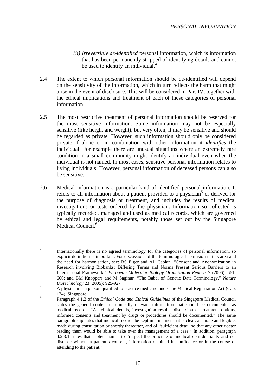- *(ii) Irreversibly de-identified* personal information, which is information that has been permanently stripped of identifying details and cannot be used to identify an individual. $4$
- 2.4 The extent to which personal information should be de-identified will depend on the sensitivity of the information, which in turn reflects the harm that might arise in the event of disclosure. This will be considered in Part IV, together with the ethical implications and treatment of each of these categories of personal information.
- 2.5 The most restrictive treatment of personal information should be reserved for the most sensitive information. Some information may not be especially sensitive (like height and weight), but very often, it may be sensitive and should be regarded as private. However, such information should only be considered private if alone or in combination with other information it *identifies* the individual. For example there are unusual situations where an extremely rare condition in a small community might identify an individual even when the individual is not named. In most cases, sensitive personal information relates to living individuals. However, personal information of deceased persons can also be sensitive.
- 2.6 Medical information is a particular kind of identified personal information. It refers to all information about a patient provided to a physician<sup>5</sup> or derived for the purpose of diagnosis or treatment, and includes the results of medical investigations or tests ordered by the physician. Information so collected is typically recorded, managed and used as medical records, which are governed by ethical and legal requirements, notably those set out by the Singapore Medical Council.<sup>6</sup>

 $\overline{4}$ Internationally there is no agreed terminology for the categories of personal information, so explicit definition is important. For discussions of the terminological confusion in this area and the need for harmonisation, see: BS Elger and AL Caplan, "Consent and Anonymization in Research involving Biobanks: Differing Terms and Norms Present Serious Barriers to an International Framework," *European Molecular Biology Organization Reports* 7 (2006): 661- 666; and BM Knoppers and M Saginur, "The Babel of Genetic Data Terminology," *Nature Biotechnology* 23 (2005): 925-927.<br>A physician is a person qualified to practice medicine under the Medical Registration Act (Cap.

<sup>174),</sup> Singapore. <sup>6</sup> Paragraph 4.1.2 of the *Ethical Code and Ethical Guidelines* of the Singapore Medical Council states the general content of clinically relevant information that should be documented as medical records: "All clinical details, investigation results, discussion of treatment options, informed consents and treatment by drugs or procedures should be documented." The same paragraph stipulates that medical records be kept in a manner that is clear, accurate and legible, made during consultation or shortly thereafter, and of "sufficient detail so that any other doctor reading them would be able to take over the management of a case." In addition, paragraph 4.2.3.1 states that a physician is to "respect the principle of medical confidentiality and not disclose without a patient's consent, information obtained in confidence or in the course of attending to the patient."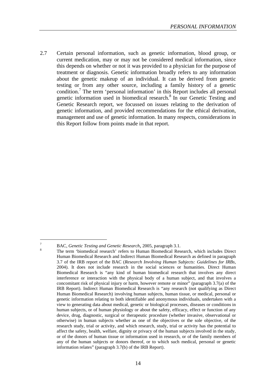2.7 Certain personal information, such as genetic information, blood group, or current medication, may or may not be considered medical information, since this depends on whether or not it was provided to a physician for the purpose of treatment or diagnosis. Genetic information broadly refers to any information about the genetic makeup of an individual. It can be derived from genetic testing or from any other source, including a family history of a genetic condition.<sup>7</sup> The term 'personal information' in this Report includes all personal genetic information used in biomedical research.<sup>8</sup> In our Genetic Testing and Genetic Research report, we focussed on issues relating to the derivation of genetic information, and provided recommendations for the ethical derivation, management and use of genetic information. In many respects, considerations in this Report follow from points made in that report.

 $\overline{a}$ 

<sup>&</sup>lt;sup>7</sup> BAC, *Genetic Testing and Genetic Research*, 2005, paragraph 3.1.<br><sup>8</sup> The term 'biomedical research' refers to Human Biomedical Research, which includes Direct Human Biomedical Research and Indirect Human Biomedical Research as defined in paragraph 3.7 of the IRB report of the BAC (*Research Involving Human Subjects: Guidelines for IRBs*, 2004). It does not include research in the social sciences or humanities. Direct Human Biomedical Research is "any kind of human biomedical research that involves any direct interference or interaction with the physical body of a human subject, and that involves a concomitant risk of physical injury or harm, however remote or minor" (paragraph 3.7(a) of the IRB Report). Indirect Human Biomedical Research is "any research (not qualifying as Direct Human Biomedical Research) involving human subjects, human tissue, or medical, personal or genetic information relating to both identifiable and anonymous individuals, undertaken with a view to generating data about medical, genetic or biological processes, diseases or conditions in human subjects, or of human physiology or about the safety, efficacy, effect or function of any device, drug, diagnostic, surgical or therapeutic procedure (whether invasive, observational or otherwise) in human subjects whether as one of the objectives or the sole objective, of the research study, trial or activity, and which research, study, trial or activity has the potential to affect the safety, health, welfare, dignity or privacy of the human subjects involved in the study, or of the donors of human tissue or information used in research, or of the family members of any of the human subjects or donors thereof, or to which such medical, personal or genetic information relates" (paragraph 3.7(b) of the IRB Report).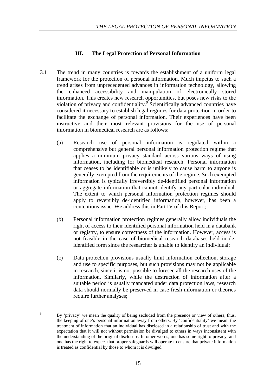#### **III. The Legal Protection of Personal Information**

- 3.1 The trend in many countries is towards the establishment of a uniform legal framework for the protection of personal information. Much impetus to such a trend arises from unprecedented advances in information technology, allowing the enhanced accessibility and manipulation of electronically stored information. This creates new research opportunities, but poses new risks to the violation of privacy and confidentiality.<sup>9</sup> Scientifically advanced countries have considered it necessary to establish legal regimes for data protection in order to facilitate the exchange of personal information. Their experiences have been instructive and their most relevant provisions for the use of personal information in biomedical research are as follows:
	- (a) Research use of personal information is regulated within a comprehensive but general personal information protection regime that applies a minimum privacy standard across various ways of using information, including for biomedical research. Personal information that ceases to be identifiable or is unlikely to cause harm to anyone is generally exempted from the requirements of the regime. Such exempted information is typically irreversibly de-identified personal information or aggregate information that cannot identify any particular individual. The extent to which personal information protection regimes should apply to reversibly de-identified information, however, has been a contentious issue. We address this in Part IV of this Report;
	- (b) Personal information protection regimes generally allow individuals the right of access to their identified personal information held in a databank or registry, to ensure correctness of the information. However, access is not feasible in the case of biomedical research databases held in deidentified form since the researcher is unable to identify an individual;
	- (c) Data protection provisions usually limit information collection, storage and use to specific purposes, but such provisions may not be applicable in research, since it is not possible to foresee all the research uses of the information. Similarly, while the destruction of information after a suitable period is usually mandated under data protection laws, research data should normally be preserved in case fresh information or theories require further analyses;

 $\overline{Q}$ <sup>9</sup> By 'privacy' we mean the quality of being secluded from the presence or view of others, thus, the keeping of one's personal information away from others. By 'confidentiality' we mean the treatment of information that an individual has disclosed in a relationship of trust and with the expectation that it will not without permission be divulged to others in ways inconsistent with the understanding of the original disclosure. In other words, one has some right to privacy, and one has the right to expect that proper safeguards will operate to ensure that private information is treated as confidential by those to whom it is divulged.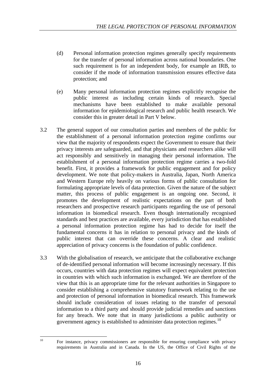- (d) Personal information protection regimes generally specify requirements for the transfer of personal information across national boundaries. One such requirement is for an independent body, for example an IRB, to consider if the mode of information transmission ensures effective data protection; and
- (e) Many personal information protection regimes explicitly recognise the public interest as including certain kinds of research. Special mechanisms have been established to make available personal information for epidemiological research and public health research. We consider this in greater detail in Part V below.
- 3.2 The general support of our consultation parties and members of the public for the establishment of a personal information protection regime confirms our view that the majority of respondents expect the Government to ensure that their privacy interests are safeguarded, and that physicians and researchers alike will act responsibly and sensitively in managing their personal information. The establishment of a personal information protection regime carries a two-fold benefit. First, it provides a framework for public engagement and for policy development. We note that policy-makers in Australia, Japan, North America and Western Europe rely heavily on various forms of public consultation for formulating appropriate levels of data protection. Given the nature of the subject matter, this process of public engagement is an ongoing one. Second, it promotes the development of realistic expectations on the part of both researchers and prospective research participants regarding the use of personal information in biomedical research. Even though internationally recognised standards and best practices are available, every jurisdiction that has established a personal information protection regime has had to decide for itself the fundamental concerns it has in relation to personal privacy and the kinds of public interest that can override these concerns. A clear and realistic appreciation of privacy concerns is the foundation of public confidence.
- 3.3 With the globalisation of research, we anticipate that the collaborative exchange of de-identified personal information will become increasingly necessary. If this occurs, countries with data protection regimes will expect equivalent protection in countries with which such information is exchanged. We are therefore of the view that this is an appropriate time for the relevant authorities in Singapore to consider establishing a comprehensive statutory framework relating to the use and protection of personal information in biomedical research. This framework should include consideration of issues relating to the transfer of personal information to a third party and should provide judicial remedies and sanctions for any breach. We note that in many jurisdictions a public authority or government agency is established to administer data protection regimes.<sup>10</sup>

 $10$ 

For instance, privacy commissioners are responsible for ensuring compliance with privacy requirements in Australia and in Canada. In the US, the Office of Civil Rights of the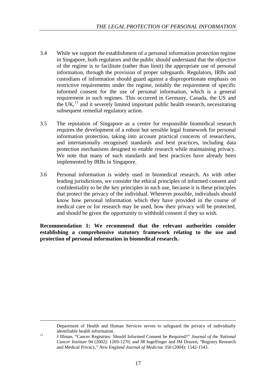- 3.4 While we support the establishment of a personal information protection regime in Singapore, both regulators and the public should understand that the objective of the regime is to facilitate (rather than limit) the appropriate use of personal information, through the provision of proper safeguards. Regulators, IRBs and custodians of information should guard against a disproportionate emphasis on restrictive requirements under the regime, notably the requirement of specific informed consent for the use of personal information, which is a general requirement in such regimes. This occurred in Germany, Canada, the US and the UK, $<sup>11</sup>$  and it severely limited important public health research, necessitating</sup> subsequent remedial regulatory action.
- 3.5 The reputation of Singapore as a centre for responsible biomedical research requires the development of a robust but sensible legal framework for personal information protection, taking into account practical concerns of researchers, and internationally recognised standards and best practices, including data protection mechanisms designed to enable research while maintaining privacy. We note that many of such standards and best practices have already been implemented by IRBs in Singapore.
- 3.6 Personal information is widely used in biomedical research. As with other leading jurisdictions, we consider the ethical principles of informed consent and confidentiality to be the key principles in such use, because it is these principles that protect the privacy of the individual. Wherever possible, individuals should know how personal information which they have provided in the course of medical care or for research may be used, how their privacy will be protected, and should be given the opportunity to withhold consent if they so wish.

**Recommendation 1: We recommend that the relevant authorities consider establishing a comprehensive statutory framework relating to the use and protection of personal information in biomedical research.** 

Department of Health and Human Services serves to safeguard the privacy of individually

 $\overline{a}$ 

identifiable health information.<br><sup>11</sup> J Illman, "Cancer Registries: Should Informed Consent be Required?" *Journal of the National Cancer Institute* 94 (2002): 1269-1270; and JR Ingelfinger and JM Drazen, "Registry Research and Medical Privacy," *New England Journal of Medicine* 350 (2004): 1542-1543.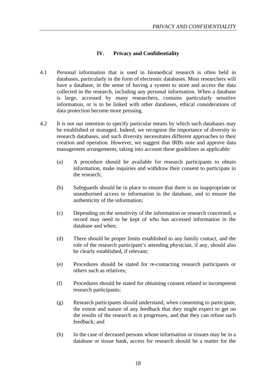#### **IV. Privacy and Confidentiality**

- 4.1 Personal information that is used in biomedical research is often held in databases, particularly in the form of electronic databases. Most researchers will have a database, in the sense of having a system to store and access the data collected in the research, including any personal information. When a database is large, accessed by many researchers, contains particularly sensitive information, or is to be linked with other databases, ethical considerations of data protection become more pressing.
- 4.2 It is not our intention to specify particular means by which such databases may be established or managed. Indeed, we recognise the importance of diversity in research databases, and such diversity necessitates different approaches to their creation and operation. However, we suggest that IRBs note and approve data management arrangements, taking into account these guidelines as applicable:
	- (a) A procedure should be available for research participants to obtain information, make inquiries and withdraw their consent to participate in the research;
	- (b) Safeguards should be in place to ensure that there is no inappropriate or unauthorised access to information in the database, and to ensure the authenticity of the information;
	- (c) Depending on the sensitivity of the information or research concerned, a record may need to be kept of who has accessed information in the database and when;
	- (d) There should be proper limits established to any family contact, and the role of the research participant's attending physician, if any, should also be clearly established, if relevant;
	- (e) Procedures should be stated for re-contacting research participants or others such as relatives;
	- (f) Procedures should be stated for obtaining consent related to incompetent research participants;
	- (g) Research participants should understand, when consenting to participate, the extent and nature of any feedback that they might expect to get on the results of the research as it progresses, and that they can refuse such feedback; and
	- (h) In the case of deceased persons whose information or tissues may be in a database or tissue bank, access for research should be a matter for the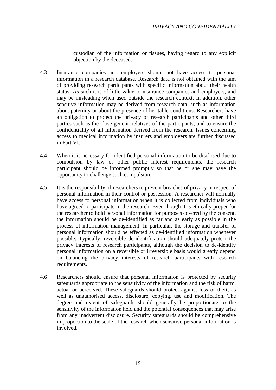custodian of the information or tissues, having regard to any explicit objection by the deceased.

- 4.3 Insurance companies and employers should not have access to personal information in a research database. Research data is not obtained with the aim of providing research participants with specific information about their health status. As such it is of little value to insurance companies and employers, and may be misleading when used outside the research context. In addition, other sensitive information may be derived from research data, such as information about paternity or about the presence of heritable conditions. Researchers have an obligation to protect the privacy of research participants and other third parties such as the close genetic relatives of the participants, and to ensure the confidentiality of all information derived from the research. Issues concerning access to medical information by insurers and employers are further discussed in Part VI.
- 4.4 When it is necessary for identified personal information to be disclosed due to compulsion by law or other public interest requirements, the research participant should be informed promptly so that he or she may have the opportunity to challenge such compulsion.
- 4.5 It is the responsibility of researchers to prevent breaches of privacy in respect of personal information in their control or possession. A researcher will normally have access to personal information when it is collected from individuals who have agreed to participate in the research. Even though it is ethically proper for the researcher to hold personal information for purposes covered by the consent, the information should be de-identified as far and as early as possible in the process of information management. In particular, the storage and transfer of personal information should be effected as de-identified information whenever possible. Typically, reversible de-identification should adequately protect the privacy interests of research participants, although the decision to de-identify personal information on a reversible or irreversible basis would greatly depend on balancing the privacy interests of research participants with research requirements.
- 4.6 Researchers should ensure that personal information is protected by security safeguards appropriate to the sensitivity of the information and the risk of harm, actual or perceived. These safeguards should protect against loss or theft, as well as unauthorised access, disclosure, copying, use and modification. The degree and extent of safeguards should generally be proportionate to the sensitivity of the information held and the potential consequences that may arise from any inadvertent disclosure. Security safeguards should be comprehensive in proportion to the scale of the research when sensitive personal information is involved.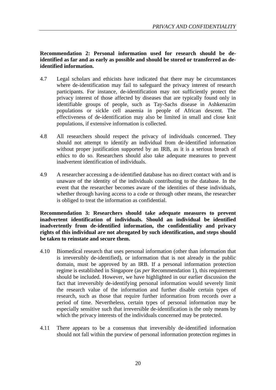#### **Recommendation 2: Personal information used for research should be deidentified as far and as early as possible and should be stored or transferred as deidentified information.**

- 4.7 Legal scholars and ethicists have indicated that there may be circumstances where de-identification may fail to safeguard the privacy interest of research participants. For instance, de-identification may not sufficiently protect the privacy interest of those affected by diseases that are typically found only in identifiable groups of people, such as Tay-Sachs disease in Ashkenazim populations or sickle cell anaemia in people of African descent. The effectiveness of de-identification may also be limited in small and close knit populations, if extensive information is collected.
- 4.8 All researchers should respect the privacy of individuals concerned. They should not attempt to identify an individual from de-identified information without proper justification supported by an IRB, as it is a serious breach of ethics to do so. Researchers should also take adequate measures to prevent inadvertent identification of individuals.
- 4.9 A researcher accessing a de-identified database has no direct contact with and is unaware of the identity of the individuals contributing to the database. In the event that the researcher becomes aware of the identities of these individuals, whether through having access to a code or through other means, the researcher is obliged to treat the information as confidential.

**Recommendation 3: Researchers should take adequate measures to prevent inadvertent identification of individuals. Should an individual be identified inadvertently from de-identified information, the confidentiality and privacy rights of this individual are not abrogated by such identification, and steps should be taken to reinstate and secure them.** 

- 4.10 Biomedical research that uses personal information (other than information that is irreversibly de-identified), or information that is not already in the public domain, must be approved by an IRB. If a personal information protection regime is established in Singapore (as *per* Recommendation 1), this requirement should be included. However, we have highlighted in our earlier discussion the fact that irreversibly de-identifying personal information would severely limit the research value of the information and further disable certain types of research, such as those that require further information from records over a period of time. Nevertheless, certain types of personal information may be especially sensitive such that irreversible de-identification is the only means by which the privacy interests of the individuals concerned may be protected.
- 4.11 There appears to be a consensus that irreversibly de-identified information should not fall within the purview of personal information protection regimes in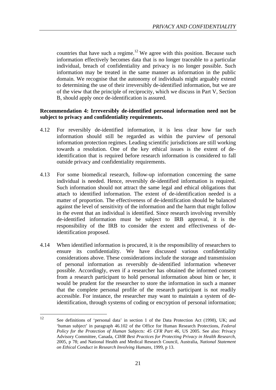countries that have such a regime.<sup>12</sup> We agree with this position. Because such information effectively becomes data that is no longer traceable to a particular individual, breach of confidentiality and privacy is no longer possible. Such information may be treated in the same manner as information in the public domain. We recognise that the autonomy of individuals might arguably extend to determining the use of their irreversibly de-identified information, but we are of the view that the principle of reciprocity, which we discuss in Part V, Section B, should apply once de-identification is assured.

#### **Recommendation 4: Irreversibly de-identified personal information need not be subject to privacy and confidentiality requirements.**

- 4.12 For reversibly de-identified information, it is less clear how far such information should still be regarded as within the purview of personal information protection regimes. Leading scientific jurisdictions are still working towards a resolution. One of the key ethical issues is the extent of deidentification that is required before research information is considered to fall outside privacy and confidentiality requirements.
- 4.13 For some biomedical research, follow-up information concerning the same individual is needed. Hence, reversibly de-identified information is required. Such information should not attract the same legal and ethical obligations that attach to identified information. The extent of de-identification needed is a matter of proportion. The effectiveness of de-identification should be balanced against the level of sensitivity of the information and the harm that might follow in the event that an individual is identified. Since research involving reversibly de-identified information must be subject to IRB approval, it is the responsibility of the IRB to consider the extent and effectiveness of deidentification proposed.
- 4.14 When identified information is procured, it is the responsibility of researchers to ensure its confidentiality. We have discussed various confidentiality considerations above. These considerations include the storage and transmission of personal information as reversibly de-identified information whenever possible. Accordingly, even if a researcher has obtained the informed consent from a research participant to hold personal information about him or her, it would be prudent for the researcher to store the information in such a manner that the complete personal profile of the research participant is not readily accessible. For instance, the researcher may want to maintain a system of deidentification, through systems of coding or encryption of personal information;

 $12<sup>12</sup>$ See definitions of 'personal data' in section 1 of the Data Protection Act (1998), UK; and 'human subject' in paragraph 46.102 of the Office for Human Research Protections, *Federal Policy for the Protection of Human Subjects: 45 CFR Part 46*, US 2005. See also: Privacy Advisory Committee, Canada, *CIHR Best Practices for Protecting Privacy in Health Research*, 2005, p 78; and National Health and Medical Research Council, Australia, *National Statement on Ethical Conduct in Research Involving Humans*, 1999, p 13.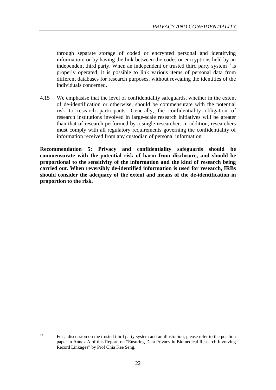through separate storage of coded or encrypted personal and identifying information; or by having the link between the codes or encryptions held by an independent third party. When an independent or trusted third party system<sup>13</sup> is properly operated, it is possible to link various items of personal data from different databases for research purposes, without revealing the identities of the individuals concerned.

4.15 We emphasise that the level of confidentiality safeguards, whether in the extent of de-identification or otherwise, should be commensurate with the potential risk to research participants. Generally, the confidentiality obligation of research institutions involved in large-scale research initiatives will be greater than that of research performed by a single researcher. In addition, researchers must comply with all regulatory requirements governing the confidentiality of information received from any custodian of personal information.

**Recommendation 5: Privacy and confidentiality safeguards should be commensurate with the potential risk of harm from disclosure, and should be proportional to the sensitivity of the information and the kind of research being carried out. When reversibly de-identified information is used for research, IRBs should consider the adequacy of the extent and means of the de-identification in proportion to the risk.** 

 $\overline{13}$ <sup>13</sup> For a discussion on the trusted third party system and an illustration, please refer to the position paper in Annex A of this Report, on "Ensuring Data Privacy in Biomedical Research Involving Record Linkages" by Prof Chia Kee Seng.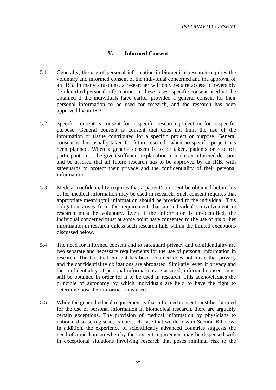#### **V. Informed Consent**

- 5.1 Generally, the use of personal information in biomedical research requires the voluntary and informed consent of the individual concerned and the approval of an IRB. In many situations, a researcher will only require access to reversibly de-identified personal information. In these cases, specific consent need not be obtained if the individuals have earlier provided a general consent for their personal information to be used for research, and the research has been approved by an IRB.
- 5.2 Specific consent is consent for a specific research project or for a specific purpose. General consent is consent that does not limit the use of the information or tissue contributed for a specific project or purpose. General consent is thus usually taken for future research, when no specific project has been planned. When a general consent is to be taken, patients or research participants must be given sufficient explanation to make an informed decision and be assured that all future research has to be approved by an IRB, with safeguards to protect their privacy and the confidentiality of their personal information.
- 5.3 Medical confidentiality requires that a patient's consent be obtained before his or her medical information may be used in research. Such consent requires that appropriate meaningful information should be provided to the individual. This obligation arises from the requirement that an individual's involvement in research must be voluntary. Even if the information is de-identified, the individual concerned must at some point have consented to the use of his or her information in research unless such research falls within the limited exceptions discussed below.
- 5.4 The need for informed consent and to safeguard privacy and confidentiality are two separate and necessary requirements for the use of personal information in research. The fact that consent has been obtained does not mean that privacy and the confidentiality obligations are abrogated. Similarly, even if privacy and the confidentiality of personal information are assured, informed consent must still be obtained in order for it to be used in research. This acknowledges the principle of autonomy by which individuals are held to have the right to determine how their information is used.
- 5.5 While the general ethical requirement is that informed consent must be obtained for the use of personal information in biomedical research, there are arguably certain exceptions. The provision of medical information by physicians to national disease registries is one such case that we discuss in Section B below. In addition, the experience of scientifically advanced countries suggests the need of a mechanism whereby the consent requirement may be dispensed with in exceptional situations involving research that poses minimal risk to the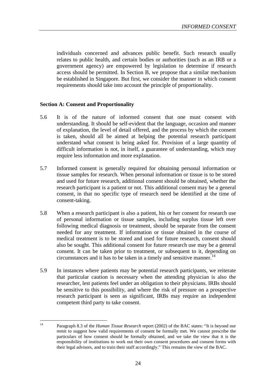individuals concerned and advances public benefit. Such research usually relates to public health, and certain bodies or authorities (such as an IRB or a government agency) are empowered by legislation to determine if research access should be permitted. In Section B, we propose that a similar mechanism be established in Singapore. But first, we consider the manner in which consent requirements should take into account the principle of proportionality.

#### **Section A: Consent and Proportionality**

- 5.6 It is of the nature of informed consent that one must consent with understanding. It should be self-evident that the language, occasion and manner of explanation, the level of detail offered, and the process by which the consent is taken, should all be aimed at helping the potential research participant understand what consent is being asked for. Provision of a large quantity of difficult information is not, in itself, a guarantee of understanding, which may require less information and more explanation.
- 5.7 Informed consent is generally required for obtaining personal information or tissue samples for research. When personal information or tissue is to be stored and used for future research, additional consent should be obtained, whether the research participant is a patient or not. This additional consent may be a general consent, in that no specific type of research need be identified at the time of consent-taking.
- 5.8 When a research participant is also a patient, his or her consent for research use of personal information or tissue samples, including surplus tissue left over following medical diagnosis or treatment, should be separate from the consent needed for any treatment. If information or tissue obtained in the course of medical treatment is to be stored and used for future research, consent should also be sought. This additional consent for future research use may be a general consent. It can be taken prior to treatment, or subsequent to it, depending on circumstances and it has to be taken in a timely and sensitive manner.<sup>14</sup>
- 5.9 In instances where patients may be potential research participants, we reiterate that particular caution is necessary when the attending physician is also the researcher, lest patients feel under an obligation to their physicians. IRBs should be sensitive to this possibility, and where the risk of pressure on a prospective research participant is seen as significant, IRBs may require an independent competent third party to take consent.

 $14$ <sup>14</sup> Paragraph 8.3 of the *Human Tissue Research* report (2002) of the BAC states: "It is beyond our remit to suggest how valid requirements of consent be formally met. We cannot prescribe the particulars of how consent should be formally obtained, and we take the view that it is the responsibility of institutions to work out their own consent procedures and consent forms with their legal advisors, and to train their staff accordingly." This remains the view of the BAC.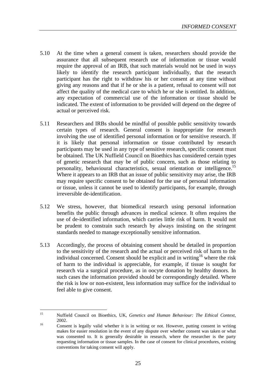- 5.10 At the time when a general consent is taken, researchers should provide the assurance that all subsequent research use of information or tissue would require the approval of an IRB, that such materials would not be used in ways likely to identify the research participant individually, that the research participant has the right to withdraw his or her consent at any time without giving any reasons and that if he or she is a patient, refusal to consent will not affect the quality of the medical care to which he or she is entitled. In addition, any expectation of commercial use of the information or tissue should be indicated. The extent of information to be provided will depend on the degree of actual or perceived risk.
- 5.11 Researchers and IRBs should be mindful of possible public sensitivity towards certain types of research. General consent is inappropriate for research involving the use of identified personal information or for sensitive research. If it is likely that personal information or tissue contributed by research participants may be used in any type of sensitive research, specific consent must be obtained. The UK Nuffield Council on Bioethics has considered certain types of genetic research that may be of public concern, such as those relating to personality, behavioural characteristics, sexual orientation or intelligence.<sup>15</sup> Where it appears to an IRB that an issue of public sensitivity may arise, the IRB may require specific consent to be obtained for the use of personal information or tissue, unless it cannot be used to identify participants, for example, through irreversible de-identification.
- 5.12 We stress, however, that biomedical research using personal information benefits the public through advances in medical science. It often requires the use of de-identified information, which carries little risk of harm. It would not be prudent to constrain such research by always insisting on the stringent standards needed to manage exceptionally sensitive information.
- 5.13 Accordingly, the process of obtaining consent should be detailed in proportion to the sensitivity of the research and the actual or perceived risk of harm to the individual concerned. Consent should be explicit and in writing<sup>16</sup> where the risk of harm to the individual is appreciable, for example, if tissue is sought for research via a surgical procedure, as in oocyte donation by healthy donors. In such cases the information provided should be correspondingly detailed. Where the risk is low or non-existent, less information may suffice for the individual to feel able to give consent.

 $15$ <sup>15</sup> Nuffield Council on Bioethics, UK, *Genetics and Human Behaviour: The Ethical Context*, <sup>16</sup> <sup>2002.</sup> Consent is legally valid whether it is in writing or not. However, putting consent in writing

makes for easier resolution in the event of any dispute over whether consent was taken or what was consented to. It is generally desirable in research, where the researcher is the party requesting information or tissue samples. In the case of consent for clinical procedures, existing conventions for taking consent will apply.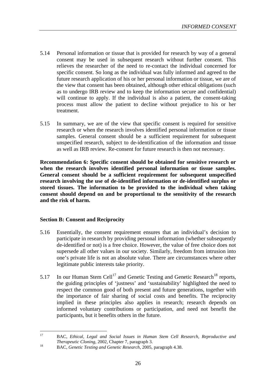- 5.14 Personal information or tissue that is provided for research by way of a general consent may be used in subsequent research without further consent. This relieves the researcher of the need to re-contact the individual concerned for specific consent. So long as the individual was fully informed and agreed to the future research application of his or her personal information or tissue, we are of the view that consent has been obtained, although other ethical obligations (such as to undergo IRB review and to keep the information secure and confidential) will continue to apply. If the individual is also a patient, the consent-taking process must allow the patient to decline without prejudice to his or her treatment.
- 5.15 In summary, we are of the view that specific consent is required for sensitive research or when the research involves identified personal information or tissue samples. General consent should be a sufficient requirement for subsequent unspecified research, subject to de-identification of the information and tissue as well as IRB review. Re-consent for future research is then not necessary.

**Recommendation 6: Specific consent should be obtained for sensitive research or when the research involves identified personal information or tissue samples. General consent should be a sufficient requirement for subsequent unspecified research involving the use of de-identified information or de-identified surplus or stored tissues. The information to be provided to the individual when taking consent should depend on and be proportional to the sensitivity of the research and the risk of harm.**

#### **Section B: Consent and Reciprocity**

- 5.16 Essentially, the consent requirement ensures that an individual's decision to participate in research by providing personal information (whether subsequently de-identified or not) is a free choice. However, the value of free choice does not supersede all other values in our society. Similarly, freedom from intrusion into one's private life is not an absolute value. There are circumstances where other legitimate public interests take priority.
- 5.17 In our Human Stem Cell<sup>17</sup> and Genetic Testing and Genetic Research<sup>18</sup> reports, the guiding principles of 'justness' and 'sustainability' highlighted the need to respect the common good of both present and future generations, together with the importance of fair sharing of social costs and benefits. The reciprocity implied in these principles also applies in research; research depends on informed voluntary contributions or participation, and need not benefit the participants, but it benefits others in the future.

 $17$ <sup>17</sup> BAC, *Ethical, Legal and Social Issues in Human Stem Cell Research, Reproductive and Therapeutic Cloning*, 2002, Chapter 7, paragraph 3.<br>BAC, *Genetic Testing and Genetic Research*, 2005, paragraph 4.38.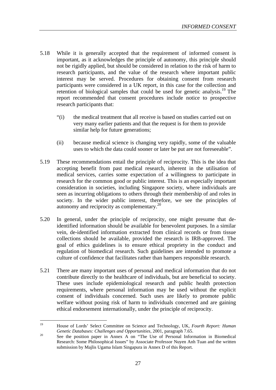- 5.18 While it is generally accepted that the requirement of informed consent is important, as it acknowledges the principle of autonomy, this principle should not be rigidly applied, but should be considered in relation to the risk of harm to research participants, and the value of the research where important public interest may be served. Procedures for obtaining consent from research participants were considered in a UK report, in this case for the collection and retention of biological samples that could be used for genetic analysis.<sup>19</sup> The report recommended that consent procedures include notice to prospective research participants that:
	- "(i) the medical treatment that all receive is based on studies carried out on very many earlier patients and that the request is for them to provide similar help for future generations;
	- (ii) because medical science is changing very rapidly, some of the valuable uses to which the data could sooner or later be put are not foreseeable".
- 5.19 These recommendations entail the principle of reciprocity. This is the idea that accepting benefit from past medical research, inherent in the utilisation of medical services, carries some expectation of a willingness to participate in research for the common good or public interest. This is an especially important consideration in societies, including Singapore society, where individuals are seen as incurring obligations to others through their membership of and roles in society. In the wider public interest, therefore, we see the principles of autonomy and reciprocity as complementary.<sup>20</sup>
- 5.20 In general, under the principle of reciprocity, one might presume that deidentified information should be available for benevolent purposes. In a similar vein, de-identified information extracted from clinical records or from tissue collections should be available, provided the research is IRB-approved. The goal of ethics guidelines is to ensure ethical propriety in the conduct and regulation of biomedical research. Such guidelines are intended to promote a culture of confidence that facilitates rather than hampers responsible research.
- 5.21 There are many important uses of personal and medical information that do not contribute directly to the healthcare of individuals, but are beneficial to society. These uses include epidemiological research and public health protection requirements, where personal information may be used without the explicit consent of individuals concerned. Such uses are likely to promote public welfare without posing risk of harm to individuals concerned and are gaining ethical endorsement internationally, under the principle of reciprocity.

<sup>19</sup> <sup>19</sup> House of Lords' Select Committee on Science and Technology, UK, *Fourth Report: Human Genetic Databases: Challenges and Opportunities*, 2001, paragraph 7.65.<br><sup>20</sup> See the position paper in Annex A on "The Use of Personal Information in Biomedical

Research: Some Philosophical Issues" by Associate Professor Nuyen Anh Tuan and the written submission by Majlis Ugama Islam Singapura in Annex D of this Report.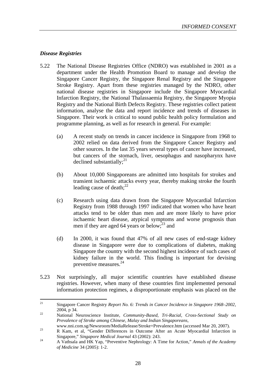#### *Disease Registries*

- 5.22 The National Disease Registries Office (NDRO) was established in 2001 as a department under the Health Promotion Board to manage and develop the Singapore Cancer Registry, the Singapore Renal Registry and the Singapore Stroke Registry. Apart from these registries managed by the NDRO, other national disease registries in Singapore include the Singapore Myocardial Infarction Registry, the National Thalassaemia Registry, the Singapore Myopia Registry and the National Birth Defects Registry. These registries collect patient information, analyse the data and report incidence and trends of diseases in Singapore. Their work is critical to sound public health policy formulation and programme planning, as well as for research in general. For example:
	- (a) A recent study on trends in cancer incidence in Singapore from 1968 to 2002 relied on data derived from the Singapore Cancer Registry and other sources. In the last 35 years several types of cancer have increased, but cancers of the stomach, liver, oesophagus and nasopharynx have declined substantially; $^{21}$
	- (b) About 10,000 Singaporeans are admitted into hospitals for strokes and transient ischaemic attacks every year, thereby making stroke the fourth leading cause of death; $^{22}$
	- (c) Research using data drawn from the Singapore Myocardial Infarction Registry from 1988 through 1997 indicated that women who have heart attacks tend to be older than men and are more likely to have prior ischaemic heart disease, atypical symptoms and worse prognosis than men if they are aged 64 years or below; $^{23}$  and
	- (d) In 2000, it was found that 47% of all new cases of end-stage kidney disease in Singapore were due to complications of diabetes, making Singapore the country with the second highest incidence of such cases of kidney failure in the world. This finding is important for devising preventive measures.24
- 5.23 Not surprisingly, all major scientific countries have established disease registries. However, when many of these countries first implemented personal information protection regimes, a disproportionate emphasis was placed on the

 $21$ <sup>21</sup> Singapore Cancer Registry *Report No. 6: Trends in Cancer Incidence in Singapore 1968–2002*, 2004, p 34. <sup>22</sup> National Neuroscience Institute, *Community-Based, Tri-Racial, Cross-Sectional Study on* 

*Prevalence of Stroke among Chinese, Malay and Indian Singaporeans*,

www.nni.com.sg/Newsroom/MediaRelease/Stroke+Prevalence.htm (accessed Mar 20, 2007).<br>R Kam, et al, "Gender Differences in Outcome After an Acute Myocardial Infarction in

Singapore," *Singapore Medical Journal* 43 (2002): 243. <sup>24</sup> A Vathsala and HK Yap, "Preventive Nephrology: A Time for Action," *Annals of the Academy* 

*of Medicine* 34 (2005): 1-2.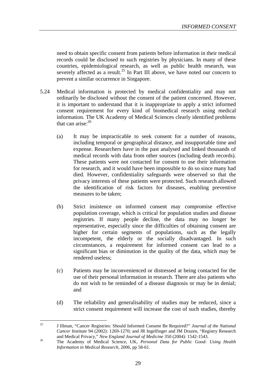need to obtain specific consent from patients before information in their medical records could be disclosed to such registries by physicians. In many of these countries, epidemiological research, as well as public health research, was severely affected as a result.<sup>25</sup> In Part III above, we have noted our concern to prevent a similar occurrence in Singapore.

- 5.24 Medical information is protected by medical confidentiality and may not ordinarily be disclosed without the consent of the patient concerned. However, it is important to understand that it is inappropriate to apply a strict informed consent requirement for every kind of biomedical research using medical information. The UK Academy of Medical Sciences clearly identified problems that can arise: $^{26}$ 
	- (a) It may be impracticable to seek consent for a number of reasons, including temporal or geographical distance, and insupportable time and expense. Researchers have in the past analysed and linked thousands of medical records with data from other sources (including death records). These patients were not contacted for consent to use their information for research, and it would have been impossible to do so since many had died. However, confidentiality safeguards were observed so that the privacy interests of these patients were protected. Such research allowed the identification of risk factors for diseases, enabling preventive measures to be taken;
	- (b) Strict insistence on informed consent may compromise effective population coverage, which is critical for population studies and disease registries. If many people decline, the data may no longer be representative, especially since the difficulties of obtaining consent are higher for certain segments of populations, such as the legally incompetent, the elderly or the socially disadvantaged. In such circumstances, a requirement for informed consent can lead to a significant bias or diminution in the quality of the data, which may be rendered useless;
	- (c) Patients may be inconvenienced or distressed at being contacted for the use of their personal information in research. There are also patients who do not wish to be reminded of a disease diagnosis or may be in denial; and
	- (d) The reliability and generalisability of studies may be reduced, since a strict consent requirement will increase the cost of such studies, thereby

 $25$ <sup>25</sup> J Illman, "Cancer Registries: Should Informed Consent Be Required?" *Journal of the National Cancer Institute* 94 (2002): 1269-1270; and JR Ingelfinger and JM Drazen, "Registry Research and Medical Privacy," *New England Journal of Medicine* 350 (2004): 1542-1543. <sup>26</sup> The Academy of Medical Science, UK, *Personal Data for Public Good: Using Health* 

*Information in Medical Research*, 2006, pp 58-61.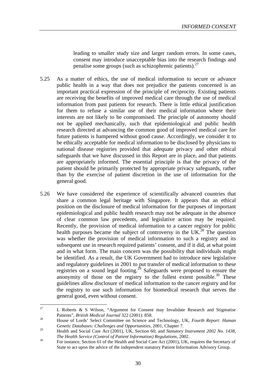leading to smaller study size and larger random errors. In some cases, consent may introduce unacceptable bias into the research findings and penalise some groups (such as schizophrenic patients). $27$ 

- 5.25 As a matter of ethics, the use of medical information to secure or advance public health in a way that does not prejudice the patients concerned is an important practical expression of the principle of reciprocity. Existing patients are receiving the benefits of improved medical care through the use of medical information from past patients for research. There is little ethical justification for them to refuse a similar use of their medical information where their interests are not likely to be compromised. The principle of autonomy should not be applied mechanically, such that epidemiological and public health research directed at advancing the common good of improved medical care for future patients is hampered without good cause. Accordingly, we consider it to be ethically acceptable for medical information to be disclosed by physicians to national disease registries provided that adequate privacy and other ethical safeguards that we have discussed in this Report are in place, and that patients are appropriately informed. The essential principle is that the privacy of the patient should be primarily protected by appropriate privacy safeguards, rather than by the exercise of patient discretion in the use of information for the general good.
- 5.26 We have considered the experience of scientifically advanced countries that share a common legal heritage with Singapore. It appears that an ethical position on the disclosure of medical information for the purposes of important epidemiological and public health research may not be adequate in the absence of clear common law precedents, and legislative action may be required. Recently, the provision of medical information to a cancer registry for public health purposes became the subject of controversy in the UK.<sup>28</sup> The question was whether the provision of medical information to such a registry and its subsequent use in research required patients' consent, and if it did, at what point and in what form. The main concern was the possibility that individuals might be identified. As a result, the UK Government had to introduce new legislative and regulatory guidelines in 2001 to put transfer of medical information to these registries on a sound legal footing.<sup>29</sup> Safeguards were proposed to ensure the anonymity of those on the registry to the fullest extent possible. $30$  These guidelines allow disclosure of medical information to the cancer registry and for the registry to use such information for biomedical research that serves the general good, even without consent.

 $27$ L Roberts & S Wilson, "Argument for Consent may Invalidate Research and Stigmatise Patients", *British Medical Journal* 322 (2001): 858.<br><sup>28</sup> House of Lords' Select Committee on Science and Technology, UK, *Fourth Report: Human* 

*Genetic Databases: Challenges and Opportunities*, 2001, Chapter 7.

<sup>&</sup>lt;sup>29</sup> Health and Social Care Act (2001), UK, Section 60; and *Statutory Instrument 2002 No.* 1438, <sup>30</sup> *The Health Service (Control of Patient Information) Regulations, 2002.*<br><sup>30</sup> For instance, Section 61 of the Health and Social Care Act (2001), UK, requires the Secretary of

State to act upon the advice of the independent statutory Patient Information Advisory Group.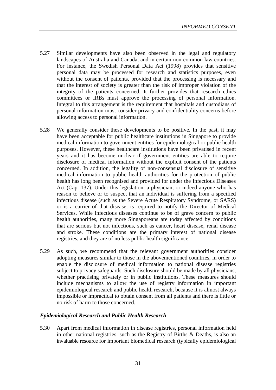- 5.27 Similar developments have also been observed in the legal and regulatory landscapes of Australia and Canada, and in certain non-common law countries. For instance, the Swedish Personal Data Act (1998) provides that sensitive personal data may be processed for research and statistics purposes, even without the consent of patients, provided that the processing is necessary and that the interest of society is greater than the risk of improper violation of the integrity of the patients concerned. It further provides that research ethics committees or IRBs must approve the processing of personal information. Integral to this arrangement is the requirement that hospitals and custodians of personal information must consider privacy and confidentiality concerns before allowing access to personal information.
- 5.28 We generally consider these developments to be positive. In the past, it may have been acceptable for public healthcare institutions in Singapore to provide medical information to government entities for epidemiological or public health purposes. However, these healthcare institutions have been privatised in recent years and it has become unclear if government entities are able to require disclosure of medical information without the explicit consent of the patients concerned. In addition, the legality of non-consensual disclosure of sensitive medical information to public health authorities for the protection of public health has long been recognised and provided for under the Infectious Diseases Act (Cap. 137). Under this legislation, a physician, or indeed anyone who has reason to believe or to suspect that an individual is suffering from a specified infectious disease (such as the Severe Acute Respiratory Syndrome, or SARS) or is a carrier of that disease, is required to notify the Director of Medical Services. While infectious diseases continue to be of grave concern to public health authorities, many more Singaporeans are today affected by conditions that are serious but not infectious, such as cancer, heart disease, renal disease and stroke. These conditions are the primary interest of national disease registries, and they are of no less public health significance.
- 5.29 As such, we recommend that the relevant government authorities consider adopting measures similar to those in the abovementioned countries, in order to enable the disclosure of medical information to national disease registries subject to privacy safeguards. Such disclosure should be made by all physicians, whether practising privately or in public institutions. These measures should include mechanisms to allow the use of registry information in important epidemiological research and public health research, because it is almost always impossible or impractical to obtain consent from all patients and there is little or no risk of harm to those concerned.

#### *Epidemiological Research and Public Health Research*

5.30 Apart from medical information in disease registries, personal information held in other national registries, such as the Registry of Births & Deaths, is also an invaluable resource for important biomedical research (typically epidemiological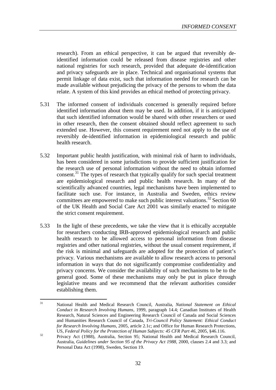research). From an ethical perspective, it can be argued that reversibly deidentified information could be released from disease registries and other national registries for such research, provided that adequate de-identification and privacy safeguards are in place. Technical and organisational systems that permit linkage of data exist, such that information needed for research can be made available without prejudicing the privacy of the persons to whom the data relate. A system of this kind provides an ethical method of protecting privacy.

- 5.31 The informed consent of individuals concerned is generally required before identified information about them may be used. In addition, if it is anticipated that such identified information would be shared with other researchers or used in other research, then the consent obtained should reflect agreement to such extended use. However, this consent requirement need not apply to the use of reversibly de-identified information in epidemiological research and public health research.
- 5.32 Important public health justification, with minimal risk of harm to individuals, has been considered in some jurisdictions to provide sufficient justification for the research use of personal information without the need to obtain informed consent. $31$  The types of research that typically qualify for such special treatment are epidemiological research and public health research. In many of the scientifically advanced countries, legal mechanisms have been implemented to facilitate such use. For instance, in Australia and Sweden, ethics review committees are empowered to make such public interest valuations.<sup>32</sup> Section 60 of the UK Health and Social Care Act 2001 was similarly enacted to mitigate the strict consent requirement.
- 5.33 In the light of these precedents, we take the view that it is ethically acceptable for researchers conducting IRB-approved epidemiological research and public health research to be allowed access to personal information from disease registries and other national registries, without the usual consent requirement, if the risk is minimal and safeguards are adopted for the protection of patient's privacy. Various mechanisms are available to allow research access to personal information in ways that do not significantly compromise confidentiality and privacy concerns. We consider the availability of such mechanisms to be to the general good. Some of these mechanisms may only be put in place through legislative means and we recommend that the relevant authorities consider establishing them.

 $31$ <sup>31</sup> National Health and Medical Research Council, Australia, *National Statement on Ethical Conduct in Research Involving Humans*, 1999, paragraph 14.4; Canadian Institutes of Health Research, Natural Sciences and Engineering Research Council of Canada and Social Sciences and Humanities Research Council of Canada, *Tri-Council Policy Statement: Ethical Conduct for Research Involving Humans*, 2005, article 2.1c; and Office for Human Research Protections,

US, *Federal Policy for the Protection of Human Subjects: 45 CFR Part 46*, 2005, §46.116.<br><sup>32</sup> Privacy Act (1988), Australia, Section 95; National Health and Medical Research Council, Australia, *Guidelines under Section 95 of the Privacy Act 1988,* 2000, clauses 2.4 and 3.3; and Personal Data Act (1998), Sweden, Section 19.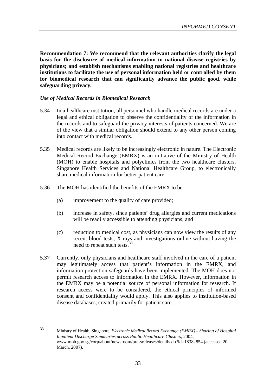**Recommendation 7: We recommend that the relevant authorities clarify the legal basis for the disclosure of medical information to national disease registries by physicians; and establish mechanisms enabling national registries and healthcare institutions to facilitate the use of personal information held or controlled by them for biomedical research that can significantly advance the public good, while safeguarding privacy.**

#### *Use of Medical Records in Biomedical Research*

- 5.34 In a healthcare institution, all personnel who handle medical records are under a legal and ethical obligation to observe the confidentiality of the information in the records and to safeguard the privacy interests of patients concerned. We are of the view that a similar obligation should extend to any other person coming into contact with medical records.
- 5.35 Medical records are likely to be increasingly electronic in nature. The Electronic Medical Record Exchange (EMRX) is an initiative of the Ministry of Health (MOH) to enable hospitals and polyclinics from the two healthcare clusters, Singapore Health Services and National Healthcare Group, to electronically share medical information for better patient care.
- 5.36 The MOH has identified the benefits of the EMRX to be:
	- (a) improvement to the quality of care provided;
	- (b) increase in safety, since patients' drug allergies and current medications will be readily accessible to attending physicians; and
	- (c) reduction to medical cost, as physicians can now view the results of any recent blood tests, X-rays and investigations online without having the need to repeat such tests.<sup>33</sup>
- 5.37 Currently, only physicians and healthcare staff involved in the care of a patient may legitimately access that patient's information in the EMRX, and information protection safeguards have been implemented. The MOH does not permit research access to information in the EMRX. However, information in the EMRX may be a potential source of personal information for research. If research access were to be considered, the ethical principles of informed consent and confidentiality would apply. This also applies to institution-based disease databases, created primarily for patient care.

 $33$ <sup>33</sup> Ministry of Health, Singapore, *Electronic Medical Record Exchange (EMRX) - Sharing of Hospital Inpatient Discharge Summaries across Public Healthcare Clusters*, 2004, www.moh.gov.sg/corp/about/newsroom/pressreleases/details.do?id=18382854 (accessed 20 March, 2007).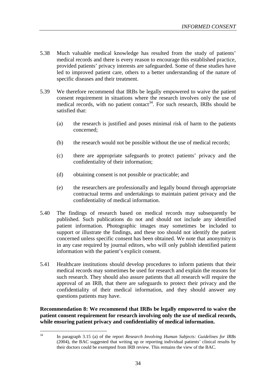- 5.38 Much valuable medical knowledge has resulted from the study of patients' medical records and there is every reason to encourage this established practice, provided patients' privacy interests are safeguarded. Some of these studies have led to improved patient care, others to a better understanding of the nature of specific diseases and their treatment.
- 5.39 We therefore recommend that IRBs be legally empowered to waive the patient consent requirement in situations where the research involves only the use of medical records, with no patient contact<sup>34</sup>. For such research, IRBs should be satisfied that:
	- (a) the research is justified and poses minimal risk of harm to the patients concerned;
	- (b) the research would not be possible without the use of medical records;
	- (c) there are appropriate safeguards to protect patients' privacy and the confidentiality of their information;
	- (d) obtaining consent is not possible or practicable; and
	- (e) the researchers are professionally and legally bound through appropriate contractual terms and undertakings to maintain patient privacy and the confidentiality of medical information.
- 5.40 The findings of research based on medical records may subsequently be published. Such publications do not and should not include any identified patient information. Photographic images may sometimes be included to support or illustrate the findings, and these too should not identify the patient concerned unless specific consent has been obtained. We note that anonymity is in any case required by journal editors, who will only publish identified patient information with the patient's explicit consent.
- 5.41 Healthcare institutions should develop procedures to inform patients that their medical records may sometimes be used for research and explain the reasons for such research. They should also assure patients that all research will require the approval of an IRB, that there are safeguards to protect their privacy and the confidentiality of their medical information, and they should answer any questions patients may have.

**Recommendation 8: We recommend that IRBs be legally empowered to waive the patient consent requirement for research involving only the use of medical records, while ensuring patient privacy and confidentiality of medical information.**

 $34$ <sup>34</sup> In paragraph 3.15 (a) of the report *Research Involving Human Subjects: Guidelines for IRBs* (2004), the BAC suggested that writing up or reporting individual patients' clinical results by their doctors could be exempted from IRB review. This remains the view of the BAC.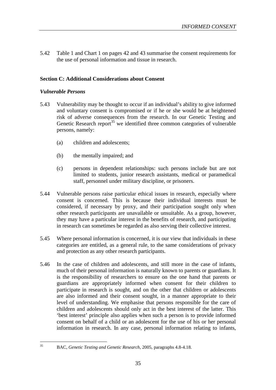5.42 Table 1 and Chart 1 on pages 42 and 43 summarise the consent requirements for the use of personal information and tissue in research.

#### **Section C: Additional Considerations about Consent**

#### *Vulnerable Persons*

- 5.43 Vulnerability may be thought to occur if an individual's ability to give informed and voluntary consent is compromised or if he or she would be at heightened risk of adverse consequences from the research. In our Genetic Testing and Genetic Research report $35$  we identified three common categories of vulnerable persons, namely:
	- (a) children and adolescents;
	- (b) the mentally impaired; and
	- (c) persons in dependent relationships: such persons include but are not limited to students, junior research assistants, medical or paramedical staff, personnel under military discipline, or prisoners.
- 5.44 Vulnerable persons raise particular ethical issues in research, especially where consent is concerned. This is because their individual interests must be considered, if necessary by proxy, and their participation sought only when other research participants are unavailable or unsuitable. As a group, however, they may have a particular interest in the benefits of research, and participating in research can sometimes be regarded as also serving their collective interest.
- 5.45 Where personal information is concerned, it is our view that individuals in these categories are entitled, as a general rule, to the same considerations of privacy and protection as any other research participants.
- 5.46 In the case of children and adolescents, and still more in the case of infants, much of their personal information is naturally known to parents or guardians. It is the responsibility of researchers to ensure on the one hand that parents or guardians are appropriately informed when consent for their children to participate in research is sought, and on the other that children or adolescents are also informed and their consent sought, in a manner appropriate to their level of understanding. We emphasise that persons responsible for the care of children and adolescents should only act in the best interest of the latter. This 'best interest' principle also applies when such a person is to provide informed consent on behalf of a child or an adolescent for the use of his or her personal information in research. In any case, personal information relating to infants,

 $35$ 

<sup>35</sup> BAC, *Genetic Testing and Genetic Research*, 2005, paragraphs 4.8-4.18.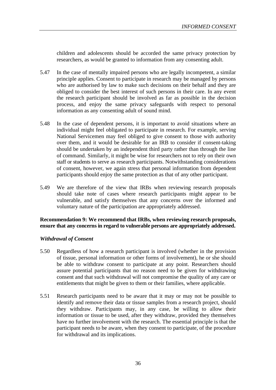children and adolescents should be accorded the same privacy protection by researchers, as would be granted to information from any consenting adult.

- 5.47 In the case of mentally impaired persons who are legally incompetent, a similar principle applies. Consent to participate in research may be managed by persons who are authorised by law to make such decisions on their behalf and they are obliged to consider the best interest of such persons in their care. In any event the research participant should be involved as far as possible in the decision process, and enjoy the same privacy safeguards with respect to personal information as any consenting adult of sound mind.
- 5.48 In the case of dependent persons, it is important to avoid situations where an individual might feel obligated to participate in research. For example, serving National Servicemen may feel obliged to give consent to those with authority over them, and it would be desirable for an IRB to consider if consent-taking should be undertaken by an independent third party rather than through the line of command. Similarly, it might be wise for researchers not to rely on their own staff or students to serve as research participants. Notwithstanding considerations of consent, however, we again stress that personal information from dependent participants should enjoy the same protection as that of any other participant.
- 5.49 We are therefore of the view that IRBs when reviewing research proposals should take note of cases where research participants might appear to be vulnerable, and satisfy themselves that any concerns over the informed and voluntary nature of the participation are appropriately addressed.

#### **Recommendation 9: We recommend that IRBs, when reviewing research proposals, ensure that any concerns in regard to vulnerable persons are appropriately addressed.**

#### *Withdrawal of Consent*

- 5.50 Regardless of how a research participant is involved (whether in the provision of tissue, personal information or other forms of involvement), he or she should be able to withdraw consent to participate at any point. Researchers should assure potential participants that no reason need to be given for withdrawing consent and that such withdrawal will not compromise the quality of any care or entitlements that might be given to them or their families, where applicable.
- 5.51 Research participants need to be aware that it may or may not be possible to identify and remove their data or tissue samples from a research project, should they withdraw. Participants may, in any case, be willing to allow their information or tissue to be used, after they withdraw, provided they themselves have no further involvement with the research. The essential principle is that the participant needs to be aware, when they consent to participate, of the procedure for withdrawal and its implications.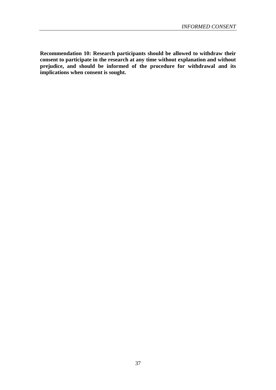**Recommendation 10: Research participants should be allowed to withdraw their consent to participate in the research at any time without explanation and without prejudice, and should be informed of the procedure for withdrawal and its implications when consent is sought.**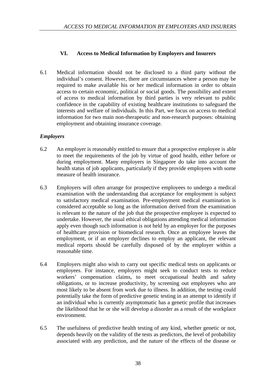#### **VI. Access to Medical Information by Employers and Insurers**

6.1 Medical information should not be disclosed to a third party without the individual's consent. However, there are circumstances where a person may be required to make available his or her medical information in order to obtain access to certain economic, political or social goods. The possibility and extent of access to medical information by third parties is very relevant to public confidence in the capability of existing healthcare institutions to safeguard the interests and welfare of individuals. In this Part, we focus on access to medical information for two main non-therapeutic and non-research purposes: obtaining employment and obtaining insurance coverage.

#### *Employers*

- 6.2 An employer is reasonably entitled to ensure that a prospective employee is able to meet the requirements of the job by virtue of good health, either before or during employment. Many employers in Singapore do take into account the health status of job applicants, particularly if they provide employees with some measure of health insurance.
- 6.3 Employers will often arrange for prospective employees to undergo a medical examination with the understanding that acceptance for employment is subject to satisfactory medical examination. Pre-employment medical examination is considered acceptable so long as the information derived from the examination is relevant to the nature of the job that the prospective employee is expected to undertake. However, the usual ethical obligations attending medical information apply even though such information is not held by an employer for the purposes of healthcare provision or biomedical research. Once an employee leaves the employment, or if an employer declines to employ an applicant, the relevant medical reports should be carefully disposed of by the employer within a reasonable time.
- 6.4 Employers might also wish to carry out specific medical tests on applicants or employees. For instance, employers might seek to conduct tests to reduce workers' compensation claims, to meet occupational health and safety obligations, or to increase productivity, by screening out employees who are most likely to be absent from work due to illness. In addition, the testing could potentially take the form of predictive genetic testing in an attempt to identify if an individual who is currently asymptomatic has a genetic profile that increases the likelihood that he or she will develop a disorder as a result of the workplace environment.
- 6.5 The usefulness of predictive health testing of any kind, whether genetic or not, depends heavily on the validity of the tests as predictors, the level of probability associated with any prediction, and the nature of the effects of the disease or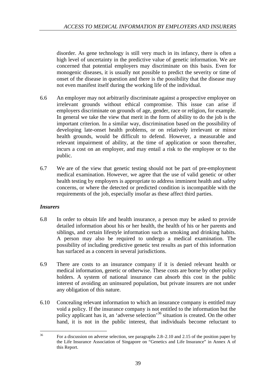disorder. As gene technology is still very much in its infancy, there is often a high level of uncertainty in the predictive value of genetic information. We are concerned that potential employers may discriminate on this basis. Even for monogenic diseases, it is usually not possible to predict the severity or time of onset of the disease in question and there is the possibility that the disease may not even manifest itself during the working life of the individual.

- 6.6 An employer may not arbitrarily discriminate against a prospective employee on irrelevant grounds without ethical compromise. This issue can arise if employers discriminate on grounds of age, gender, race or religion, for example. In general we take the view that merit in the form of ability to do the job is the important criterion. In a similar way, discrimination based on the possibility of developing late-onset health problems, or on relatively irrelevant or minor health grounds, would be difficult to defend. However, a measurable and relevant impairment of ability, at the time of application or soon thereafter, incurs a cost on an employer, and may entail a risk to the employee or to the public.
- 6.7 We are of the view that genetic testing should not be part of pre-employment medical examination. However, we agree that the use of valid genetic or other health testing by employers is appropriate to address imminent health and safety concerns, or where the detected or predicted condition is incompatible with the requirements of the job, especially insofar as these affect third parties.

#### *Insurers*

- 6.8 In order to obtain life and health insurance, a person may be asked to provide detailed information about his or her health, the health of his or her parents and siblings, and certain lifestyle information such as smoking and drinking habits. A person may also be required to undergo a medical examination. The possibility of including predictive genetic test results as part of this information has surfaced as a concern in several jurisdictions.
- 6.9 There are costs to an insurance company if it is denied relevant health or medical information, genetic or otherwise. These costs are borne by other policy holders. A system of national insurance can absorb this cost in the public interest of avoiding an uninsured population, but private insurers are not under any obligation of this nature.
- 6.10 Concealing relevant information to which an insurance company is entitled may void a policy. If the insurance company is not entitled to the information but the policy applicant has it, an 'adverse selection'36 situation is created. On the other hand, it is not in the public interest, that individuals become reluctant to

 $36$ <sup>36</sup> For a discussion on adverse selection, see paragraphs 2.8–2.10 and 2.15 of the position paper by the Life Insurance Association of Singapore on "Genetics and Life Insurance" in Annex A of this Report.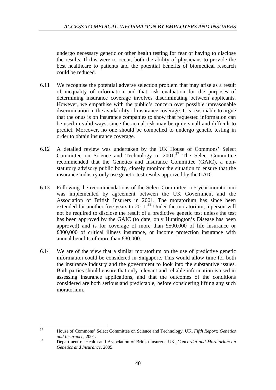undergo necessary genetic or other health testing for fear of having to disclose the results. If this were to occur, both the ability of physicians to provide the best healthcare to patients and the potential benefits of biomedical research could be reduced.

- 6.11 We recognise the potential adverse selection problem that may arise as a result of inequality of information and that risk evaluation for the purposes of determining insurance coverage involves discriminating between applicants. However, we empathise with the public's concern over possible unreasonable discrimination in the availability of insurance coverage. It is reasonable to argue that the onus is on insurance companies to show that requested information can be used in valid ways, since the actual risk may be quite small and difficult to predict. Moreover, no one should be compelled to undergo genetic testing in order to obtain insurance coverage.
- 6.12 A detailed review was undertaken by the UK House of Commons' Select Committee on Science and Technology in 2001.<sup>37</sup> The Select Committee recommended that the Genetics and Insurance Committee (GAIC), a nonstatutory advisory public body, closely monitor the situation to ensure that the insurance industry only use genetic test results approved by the GAIC.
- 6.13 Following the recommendations of the Select Committee, a 5-year moratorium was implemented by agreement between the UK Government and the Association of British Insurers in 2001. The moratorium has since been extended for another five years to  $2011$ .<sup>38</sup> Under the moratorium, a person will not be required to disclose the result of a predictive genetic test unless the test has been approved by the GAIC (to date, only Huntington's Disease has been approved) and is for coverage of more than £500,000 of life insurance or £300,000 of critical illness insurance, or income protection insurance with annual benefits of more than £30,000.
- 6.14 We are of the view that a similar moratorium on the use of predictive genetic information could be considered in Singapore. This would allow time for both the insurance industry and the government to look into the substantive issues. Both parties should ensure that only relevant and reliable information is used in assessing insurance applications, and that the outcomes of the conditions considered are both serious and predictable, before considering lifting any such moratorium.

 $37$ <sup>37</sup> House of Commons' Select Committee on Science and Technology, UK, *Fifth Report: Genetics and Insurance*, 2001. <sup>38</sup> Department of Health and Association of British Insurers, UK, *Concordat and Moratorium on* 

*Genetics and Insurance*, 2005.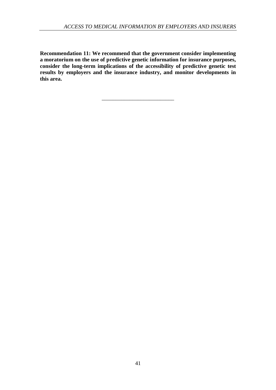**Recommendation 11: We recommend that the government consider implementing a moratorium on the use of predictive genetic information for insurance purposes, consider the long-term implications of the accessibility of predictive genetic test results by employers and the insurance industry, and monitor developments in this area.**

\_\_\_\_\_\_\_\_\_\_\_\_\_\_\_\_\_\_\_\_\_\_\_\_\_\_

41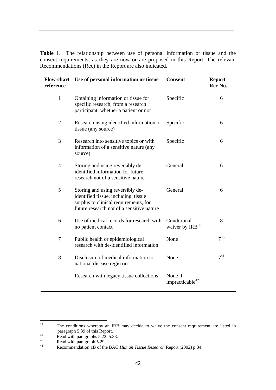**Table 1**. The relationship between use of personal information or tissue and the consent requirements, as they are now or are proposed in this Report. The relevant Recommendations (Rec) in the Report are also indicated.

| <b>Flow-chart</b><br>reference | Use of personal information or tissue                                                                                                                         | <b>Consent</b>                         | <b>Report</b><br>Rec No. |
|--------------------------------|---------------------------------------------------------------------------------------------------------------------------------------------------------------|----------------------------------------|--------------------------|
| $\mathbf{1}$                   | Obtaining information or tissue for<br>specific research, from a research<br>participant, whether a patient or not                                            | Specific                               | 6                        |
| $\overline{2}$                 | Research using identified information or<br>tissue (any source)                                                                                               | Specific                               | 6                        |
| 3                              | Research into sensitive topics or with<br>information of a sensitive nature (any<br>source)                                                                   | Specific                               | 6                        |
| $\overline{\mathcal{L}}$       | Storing and using reversibly de-<br>identified information for future<br>research not of a sensitive nature                                                   | General                                | 6                        |
| 5                              | Storing and using reversibly de-<br>identified tissue, including tissue<br>surplus to clinical requirements, for<br>future research not of a sensitive nature | General                                | 6                        |
| 6                              | Use of medical records for research with<br>no patient contact                                                                                                | Conditional<br>waiver by $IRB39$       | 8                        |
| 7                              | Public health or epidemiological<br>research with de-identified information                                                                                   | None                                   | $7^{40}$                 |
| 8                              | Disclosure of medical information to<br>national disease registries                                                                                           | None                                   | $7^{41}$                 |
|                                | Research with legacy tissue collections                                                                                                                       | None if<br>impracticable <sup>42</sup> |                          |

<sup>39</sup> The conditions whereby an IRB may decide to waive the consent requirement are listed in paragraph 5.39 of this Report.

<sup>40</sup> Read with paragraphs 5.22–5.33.<br>
Read with paragraph 5.29.<br>
Recommendation 1B of the BAC *Human Tissue Research* Report (2002) p 34.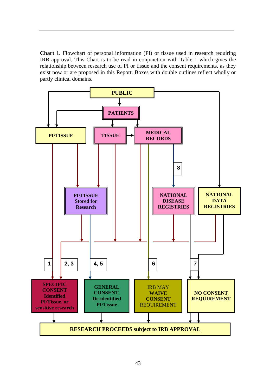**Chart 1.** Flowchart of personal information (PI) or tissue used in research requiring IRB approval. This Chart is to be read in conjunction with Table 1 which gives the relationship between research use of PI or tissue and the consent requirements, as they exist now or are proposed in this Report. Boxes with double outlines reflect wholly or partly clinical domains.

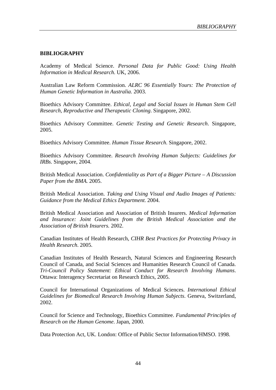#### **BIBLIOGRAPHY**

Academy of Medical Science. *Personal Data for Public Good: Using Health Information in Medical Research*. UK, 2006.

Australian Law Reform Commission. *ALRC 96 Essentially Yours: The Protection of Human Genetic Information in Australia.* 2003.

Bioethics Advisory Committee. *Ethical, Legal and Social Issues in Human Stem Cell Research, Reproductive and Therapeutic Cloning*. Singapore, 2002.

Bioethics Advisory Committee. *Genetic Testing and Genetic Research*. Singapore, 2005.

Bioethics Advisory Committee. *Human Tissue Research*. Singapore, 2002.

Bioethics Advisory Committee. *Research Involving Human Subjects: Guidelines for IRBs*. Singapore, 2004.

British Medical Association. *Confidentiality as Part of a Bigger Picture – A Discussion Paper from the BMA.* 2005.

British Medical Association. *Taking and Using Visual and Audio Images of Patients: Guidance from the Medical Ethics Department*. 2004.

British Medical Association and Association of British Insurers. *Medical Information and Insurance: Joint Guidelines from the British Medical Association and the Association of British Insurers.* 2002.

Canadian Institutes of Health Research, *CIHR Best Practices for Protecting Privacy in Health Research*. 2005.

Canadian Institutes of Health Research, Natural Sciences and Engineering Research Council of Canada, and Social Sciences and Humanities Research Council of Canada. *Tri-Council Policy Statement: Ethical Conduct for Research Involving Humans*. Ottawa: Interagency Secretariat on Research Ethics, 2005.

Council for International Organizations of Medical Sciences. *International Ethical Guidelines for Biomedical Research Involving Human Subjects*. Geneva, Switzerland, 2002.

Council for Science and Technology, Bioethics Committee. *Fundamental Principles of Research on the Human Genome*. Japan, 2000.

Data Protection Act, UK. London: Office of Public Sector Information/HMSO. 1998.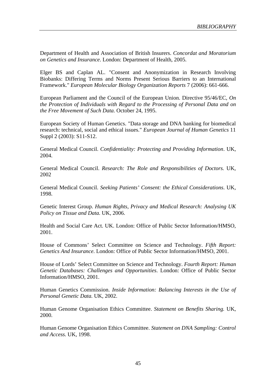Department of Health and Association of British Insurers. *Concordat and Moratorium on Genetics and Insurance*. London: Department of Health, 2005.

Elger BS and Caplan AL. "Consent and Anonymization in Research Involving Biobanks: Differing Terms and Norms Present Serious Barriers to an International Framework." *European Molecular Biology Organization Reports* 7 (2006): 661-666.

European Parliament and the Council of the European Union. Directive 95/46/EC, *On the Protection of Individuals with Regard to the Processing of Personal Data and on the Free Movement of Such Data.* October 24, 1995.

European Society of Human Genetics. "Data storage and DNA banking for biomedical research: technical, social and ethical issues." *European Journal of Human Genetics* 11 Suppl 2 (2003): S11-S12.

General Medical Council. *Confidentiality: Protecting and Providing Information*. UK, 2004.

General Medical Council. *Research: The Role and Responsibilities of Doctors.* UK, 2002

General Medical Council. *Seeking Patients' Consent: the Ethical Considerations*. UK, 1998.

Genetic Interest Group. *Human Rights, Privacy and Medical Research: Analysing UK Policy on Tissue and Data.* UK, 2006.

Health and Social Care Act. UK. London: Office of Public Sector Information/HMSO, 2001.

House of Commons' Select Committee on Science and Technology. *Fifth Report: Genetics And Insurance*. London: Office of Public Sector Information/HMSO, 2001.

House of Lords' Select Committee on Science and Technology. *Fourth Report: Human Genetic Databases: Challenges and Opportunities*. London: Office of Public Sector Information/HMSO, 2001.

Human Genetics Commission. *Inside Information: Balancing Interests in the Use of Personal Genetic Data.* UK, 2002.

Human Genome Organisation Ethics Committee. *Statement on Benefits Sharing.* UK, 2000.

Human Genome Organisation Ethics Committee. *Statement on DNA Sampling: Control and Access.* UK, 1998.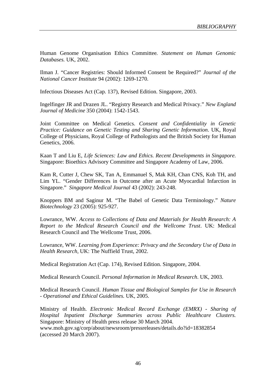Human Genome Organisation Ethics Committee*. Statement on Human Genomic Databases.* UK, 2002.

Ilman J. "Cancer Registries: Should Informed Consent be Required?" *Journal of the National Cancer Institute* 94 (2002): 1269-1270.

Infectious Diseases Act (Cap. 137), Revised Edition. Singapore, 2003.

Ingelfinger JR and Drazen JL. "Registry Research and Medical Privacy." *New England Journal of Medicine* 350 (2004): 1542-1543.

Joint Committee on Medical Genetics. *Consent and Confidentiality in Genetic Practice: Guidance on Genetic Testing and Sharing Genetic Information*. UK, Royal College of Physicians, Royal College of Pathologists and the British Society for Human Genetics, 2006.

Kaan T and Liu E, *Life Sciences: Law and Ethics. Recent Developments in Singapore.* Singapore: Bioethics Advisory Committee and Singapore Academy of Law, 2006.

Kam R, Cutter J, Chew SK, Tan A, Emmanuel S, Mak KH, Chan CNS, Koh TH, and Lim YL. "Gender Differences in Outcome after an Acute Myocardial Infarction in Singapore." *Singapore Medical Journal* 43 (2002): 243-248.

Knoppers BM and Saginur M. "The Babel of Genetic Data Terminology." *Nature Biotechnology* 23 (2005): 925-927.

Lowrance, WW. *Access to Collections of Data and Materials for Health Research: A Report to the Medical Research Council and the Wellcome Trust*. UK: Medical Research Council and The Wellcome Trust, 2006.

Lowrance, WW. *Learning from Experience: Privacy and the Secondary Use of Data in Health Research,* UK: The Nuffield Trust, 2002.

Medical Registration Act (Cap. 174), Revised Edition. Singapore, 2004.

Medical Research Council. *Personal Information in Medical Research*. UK, 2003.

Medical Research Council. *Human Tissue and Biological Samples for Use in Research - Operational and Ethical Guidelines.* UK, 2005.

Ministry of Health. *Electronic Medical Record Exchange (EMRX) - Sharing of Hospital Inpatient Discharge Summaries across Public Healthcare Clusters.* Singapore: Ministry of Health press release 30 March 2004. www.moh.gov.sg/corp/about/newsroom/pressreleases/details.do?id=18382854 (accessed 20 March 2007).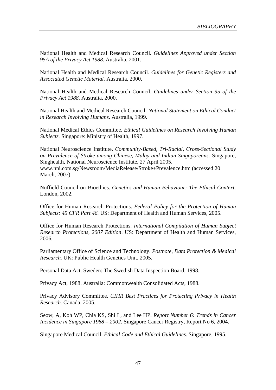National Health and Medical Research Council. *Guidelines Approved under Section 95A of the Privacy Act 1988.* Australia, 2001.

National Health and Medical Research Council. *Guidelines for Genetic Registers and Associated Genetic Material.* Australia, 2000.

National Health and Medical Research Council. *Guidelines under Section 95 of the Privacy Act 1988*. Australia, 2000.

National Health and Medical Research Council. *National Statement on Ethical Conduct in Research Involving Humans*. Australia, 1999.

National Medical Ethics Committee. *Ethical Guidelines on Research Involving Human Subjects.* Singapore: Ministry of Health, 1997.

National Neuroscience Institute. *Community-Based, Tri-Racial, Cross-Sectional Study on Prevalence of Stroke among Chinese, Malay and Indian Singaporeans.* Singapore, Singhealth, National Neuroscience Institute, 27 April 2005. www.nni.com.sg/Newsroom/MediaRelease/Stroke+Prevalence.htm (accessed 20 March, 2007).

Nuffield Council on Bioethics. *Genetics and Human Behaviour: The Ethical Context*. London, 2002.

Office for Human Research Protections. *Federal Policy for the Protection of Human Subjects: 45 CFR Part 46.* US: Department of Health and Human Services, 2005.

Office for Human Research Protections. *International Compilation of Human Subject Research Protections, 2007 Edition*. US: Department of Health and Human Services, 2006.

Parliamentary Office of Science and Technology. *Postnote, Data Protection & Medical Research.* UK: Public Health Genetics Unit, 2005.

Personal Data Act. Sweden: The Swedish Data Inspection Board, 1998.

Privacy Act, 1988. Australia: Commonwealth Consolidated Acts, 1988.

Privacy Advisory Committee. *CIHR Best Practices for Protecting Privacy in Health Research.* Canada, 2005.

Seow, A, Koh WP, Chia KS, Shi L, and Lee HP. *Report Number 6: Trends in Cancer Incidence in Singapore 1968 – 2002*. Singapore Cancer Registry, Report No 6, 2004.

Singapore Medical Council. *Ethical Code and Ethical Guidelines*. Singapore, 1995.